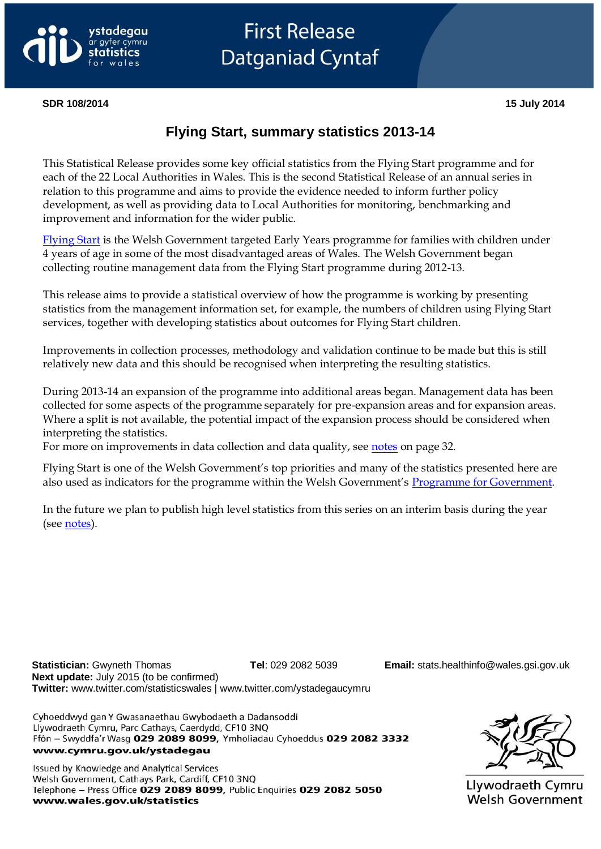

# **First Release Datganiad Cyntaf**

#### **SDR 108/2014 15 July 2014**

# **Flying Start, summary statistics 2013-14**

This Statistical Release provides some key official statistics from the Flying Start programme and for each of the 22 Local Authorities in Wales. This is the second Statistical Release of an annual series in relation to this programme and aims to provide the evidence needed to inform further policy development, as well as providing data to Local Authorities for monitoring, benchmarking and improvement and information for the wider public.

[Flying Start](http://wales.gov.uk/topics/childrenyoungpeople/parenting/help/flyingstart/?lang=en) is the Welsh Government targeted Early Years programme for families with children under 4 years of age in some of the most disadvantaged areas of Wales. The Welsh Government began collecting routine management data from the Flying Start programme during 2012-13.

This release aims to provide a statistical overview of how the programme is working by presenting statistics from the management information set, for example, the numbers of children using Flying Start services, together with developing statistics about outcomes for Flying Start children.

Improvements in collection processes, methodology and validation continue to be made but this is still relatively new data and this should be recognised when interpreting the resulting statistics.

During 2013-14 an expansion of the programme into additional areas began. Management data has been collected for some aspects of the programme separately for pre-expansion areas and for expansion areas. Where a split is not available, the potential impact of the expansion process should be considered when interpreting the statistics.

For more on improvements in data collection and data quality, see [notes](#page-31-0) on page 32.

Flying Start is one of the Welsh Government's top priorities and many of the statistics presented here are also used as indicators for the programme within the Welsh Government's [Programme for Government.](http://wales.gov.uk/about/programmeforgov/?lang=en)

In the future we plan to publish high level statistics from this series on an interim basis during the year (see [notes\)](#page-31-1).

**Statistician:** Gwyneth Thomas **Tel**: 029 2082 5039 **Email:** [stats.healthinfo@wales.gsi.gov.uk](mailto:stats.healthinfo@wales.gsi.gov.uk) **Next update:** July 2015 (to be confirmed) **Twitter:** www.twitter.com/statisticswales | www.twitter.com/ystadegaucymru

Cyhoeddwyd gan Y Gwasanaethau Gwybodaeth a Dadansoddi Llywodraeth Cymru, Parc Cathays, Caerdydd, CF10 3NO Ffôn - Swyddfa'r Wasg 029 2089 8099, Ymholiadau Cyhoeddus 029 2082 3332 www.cymru.gov.uk/ystadegau

Issued by Knowledge and Analytical Services Welsh Government, Cathays Park, Cardiff, CF10 3NQ Telephone - Press Office 029 2089 8099, Public Enquiries 029 2082 5050 www.wales.gov.uk/statistics

Llywodraeth Cymru **Welsh Government**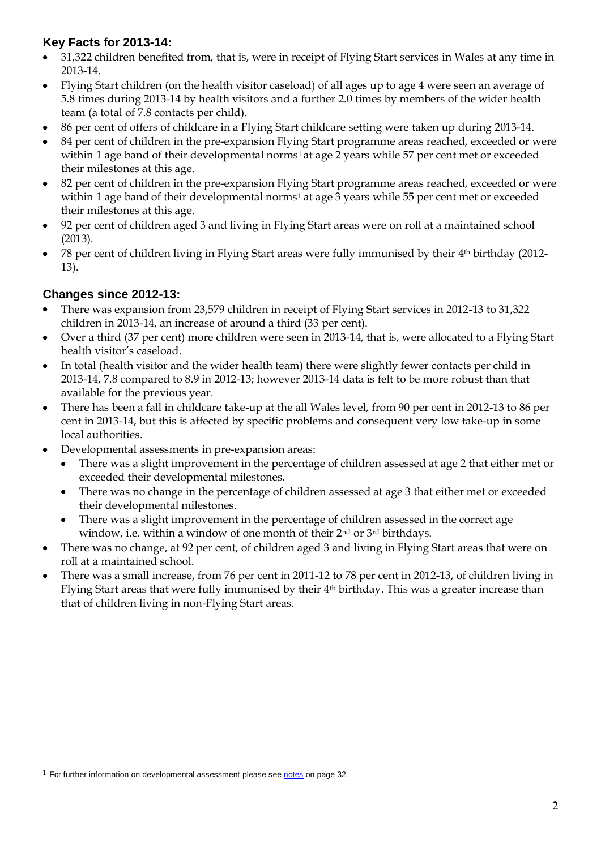# **Key Facts for 2013-14:**

- 31,322 children benefited from, that is, were in receipt of Flying Start services in Wales at any time in 2013-14.
- Flying Start children (on the health visitor caseload) of all ages up to age 4 were seen an average of  $\bullet$ 5.8 times during 2013-14 by health visitors and a further 2.0 times by members of the wider health team (a total of 7.8 contacts per child).
- 86 per cent of offers of childcare in a Flying Start childcare setting were taken up during 2013-14.
- 84 per cent of children in the pre-expansion Flying Start programme areas reached, exceeded or were  $\bullet$ within 1 age band of their developmental norms<sup>1</sup> at age 2 years while 57 per cent met or exceeded their milestones at this age.
- 82 per cent of children in the pre-expansion Flying Start programme areas reached, exceeded or were  $\bullet$ within 1 age band of their developmental norms<sup>1</sup> at age 3 years while 55 per cent met or exceeded their milestones at this age.
- 92 per cent of children aged 3 and living in Flying Start areas were on roll at a maintained school  $\bullet$ (2013).
- 78 per cent of children living in Flying Start areas were fully immunised by their 4th birthday (2012-  $\bullet$ 13).

# **Changes since 2012-13:**

- There was expansion from 23,579 children in receipt of Flying Start services in 2012-13 to 31,322  $\bullet$ children in 2013-14, an increase of around a third (33 per cent).
- Over a third (37 per cent) more children were seen in 2013-14, that is, were allocated to a Flying Start  $\bullet$ health visitor's caseload.
- In total (health visitor and the wider health team) there were slightly fewer contacts per child in  $\bullet$ 2013-14, 7.8 compared to 8.9 in 2012-13; however 2013-14 data is felt to be more robust than that available for the previous year.
- There has been a fall in childcare take-up at the all Wales level, from 90 per cent in 2012-13 to 86 per  $\bullet$ cent in 2013-14, but this is affected by specific problems and consequent very low take-up in some local authorities.
- Developmental assessments in pre-expansion areas:  $\bullet$ 
	- There was a slight improvement in the percentage of children assessed at age 2 that either met or exceeded their developmental milestones.
	- There was no change in the percentage of children assessed at age 3 that either met or exceeded their developmental milestones.
	- There was a slight improvement in the percentage of children assessed in the correct age  $\bullet$ window, i.e. within a window of one month of their 2<sup>nd</sup> or 3<sup>rd</sup> birthdays.
- There was no change, at 92 per cent, of children aged 3 and living in Flying Start areas that were on  $\bullet$ roll at a maintained school.
- There was a small increase, from 76 per cent in 2011-12 to 78 per cent in 2012-13, of children living in Flying Start areas that were fully immunised by their 4th birthday. This was a greater increase than that of children living in non-Flying Start areas.

 $1$  For further information on developmental assessment please se[e notes](#page-31-0) on page 32.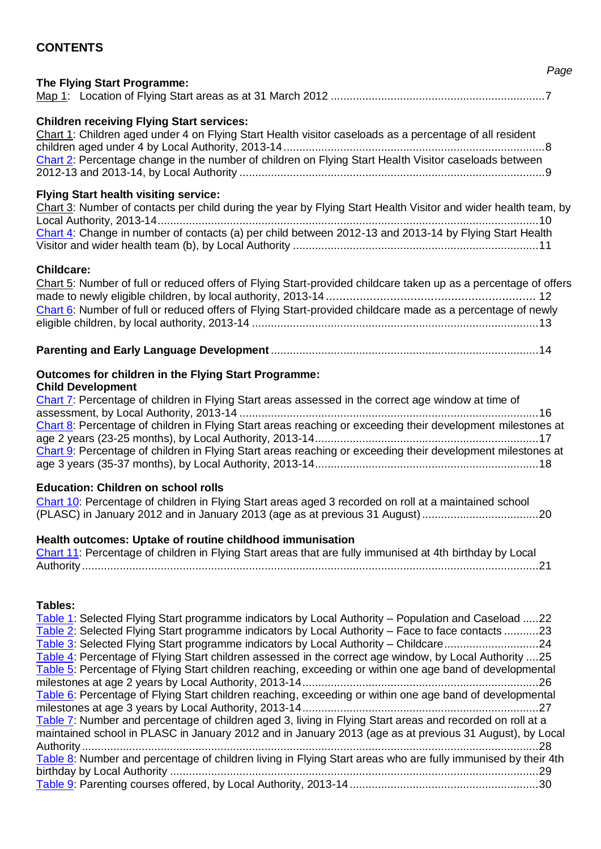# **CONTENTS**

#### **The Flying Start Programme:**

|--|--|--|--|

#### **Children receiving Flying Start services:**

[Chart 1:](#page-7-0) Children aged under 4 on Flying Start Health visitor caseloads as a percentage of all resident children aged under 4 by Local Authority, 2013-14...................................................................................8 [Chart 2:](#page-8-0) Percentage change in the number of children on Flying Start Health Visitor caseloads between 2012-13 and 2013-14, by Local Authority .................................................................................................9

#### **Flying Start health visiting service:**

| Chart 3: Number of contacts per child during the year by Flying Start Health Visitor and wider health team, by |  |
|----------------------------------------------------------------------------------------------------------------|--|
|                                                                                                                |  |
| Chart 4: Change in number of contacts (a) per child between 2012-13 and 2013-14 by Flying Start Health         |  |
|                                                                                                                |  |

#### **Childcare:**

[Chart 5:](#page-10-0) Number of full or reduced offers of Flying Start-provided childcare taken up as a percentage of offers made to newly eligible children, by local authority, 2013-14 .............................................................. 12 [Chart 6:](#page-12-0) Number of full or reduced offers of Flying Start-provided childcare made as a percentage of newly eligible children, by local authority, 2013-14 ...........................................................................................13

#### **Parenting and Early Language Development** .....................................................................................14

#### **Outcomes for children in the Flying Start Programme: Child Development**

| Chart 7: Percentage of children in Flying Start areas assessed in the correct age window at time of         |  |
|-------------------------------------------------------------------------------------------------------------|--|
|                                                                                                             |  |
| Chart 8: Percentage of children in Flying Start areas reaching or exceeding their development milestones at |  |
|                                                                                                             |  |
| Chart 9: Percentage of children in Flying Start areas reaching or exceeding their development milestones at |  |
|                                                                                                             |  |

#### **Education: Children on school rolls**

[Chart 10:](#page-19-0) Percentage of children in Flying Start areas aged 3 recorded on roll at a maintained school (PLASC) in January 2012 and in January 2013 (age as at previous 31 August).....................................20

#### **Health outcomes: Uptake of routine childhood immunisation**

[Chart 11:](#page-20-0) Percentage of children in Flying Start areas that are fully immunised at 4th birthday by Local Authority .................................................................................................................................................21

#### **Tables:**

| Table 1: Selected Flying Start programme indicators by Local Authority - Population and Caseload 22          |  |
|--------------------------------------------------------------------------------------------------------------|--|
| Table 2: Selected Flying Start programme indicators by Local Authority – Face to face contacts 23            |  |
| Table 3: Selected Flying Start programme indicators by Local Authority – Childcare24                         |  |
| Table 4: Percentage of Flying Start children assessed in the correct age window, by Local Authority 25       |  |
| Table 5: Percentage of Flying Start children reaching, exceeding or within one age band of developmental     |  |
|                                                                                                              |  |
| Table 6: Percentage of Flying Start children reaching, exceeding or within one age band of developmental     |  |
|                                                                                                              |  |
| Table 7: Number and percentage of children aged 3, living in Flying Start areas and recorded on roll at a    |  |
| maintained school in PLASC in January 2012 and in January 2013 (age as at previous 31 August), by Local      |  |
| Authority<br>28                                                                                              |  |
| Table 8: Number and percentage of children living in Flying Start areas who are fully immunised by their 4th |  |
| 29                                                                                                           |  |
|                                                                                                              |  |

#### *Page*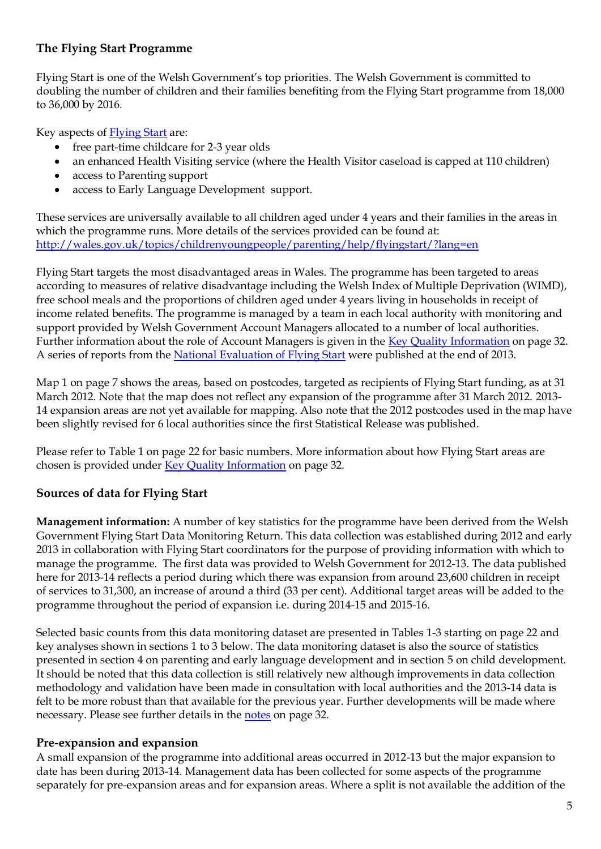# **The Flying Start Programme**

Flying Start is one of the Welsh Government's top priorities. The Welsh Government is committed to doubling the number of children and their families benefiting from the Flying Start programme from 18,000 to 36,000 by 2016.

Key aspects of [Flying Start](http://wales.gov.uk/topics/childrenyoungpeople/parenting/help/flyingstart/?lang=en) are:

- free part-time childcare for 2-3 year olds
- an enhanced Health Visiting service (where the Health Visitor caseload is capped at 110 children)
- access to Parenting support
- access to Early Language Development support.

These services are universally available to all children aged under 4 years and their families in the areas in which the programme runs. More details of the services provided can be found at: <http://wales.gov.uk/topics/childrenyoungpeople/parenting/help/flyingstart/?lang=en>

Flying Start targets the most disadvantaged areas in Wales. The programme has been targeted to areas according to measures of relative disadvantage including the Welsh Index of Multiple Deprivation (WIMD), free school meals and the proportions of children aged under 4 years living in households in receipt of income related benefits. The programme is managed by a team in each local authority with monitoring and support provided by Welsh Government Account Managers allocated to a number of local authorities. Further information about the role of Account Managers is given in the [Key Quality Information](#page-31-0) on page 32. A series of reports from the [National Evaluation of Flying Start](http://wales.gov.uk/statistics-and-research/national-evaluation-flying-start/?lang=en) were published at the end of 2013.

Map 1 on page 7 shows the areas, based on postcodes, targeted as recipients of Flying Start funding, as at 31 March 2012. Note that the map does not reflect any expansion of the programme after 31 March 2012. 2013- 14 expansion areas are not yet available for mapping. Also note that the 2012 postcodes used in the map have been slightly revised for 6 local authorities since the first Statistical Release was published.

Please refer to Table 1 on page 22 for basic numbers. More information about how Flying Start areas are chosen is provided under [Key Quality Information](#page-31-0) on page 32.

# **Sources of data for Flying Start**

**Management information:** A number of key statistics for the programme have been derived from the Welsh Government Flying Start Data Monitoring Return. This data collection was established during 2012 and early 2013 in collaboration with Flying Start coordinators for the purpose of providing information with which to manage the programme. The first data was provided to Welsh Government for 2012-13. The data published here for 2013-14 reflects a period during which there was expansion from around 23,600 children in receipt of services to 31,300, an increase of around a third (33 per cent). Additional target areas will be added to the programme throughout the period of expansion i.e. during 2014-15 and 2015-16.

Selected basic counts from this data monitoring dataset are presented in Tables 1-3 starting on page 22 and key analyses shown in sections 1 to 3 below. The data monitoring dataset is also the source of statistics presented in section 4 on parenting and early language development and in section 5 on child development. It should be noted that this data collection is still relatively new although improvements in data collection methodology and validation have been made in consultation with local authorities and the 2013-14 data is felt to be more robust than that available for the previous year. Further developments will be made where necessary. Please see further details in the [notes](#page-31-0) on page 32.

# **Pre-expansion and expansion**

A small expansion of the programme into additional areas occurred in 2012-13 but the major expansion to date has been during 2013-14. Management data has been collected for some aspects of the programme separately for pre-expansion areas and for expansion areas. Where a split is not available the addition of the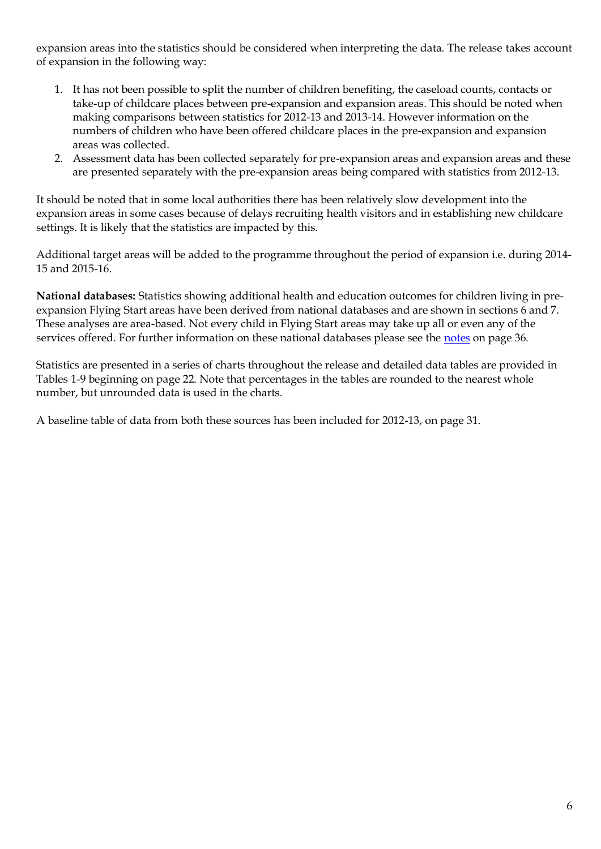expansion areas into the statistics should be considered when interpreting the data. The release takes account of expansion in the following way:

- 1. It has not been possible to split the number of children benefiting, the caseload counts, contacts or take-up of childcare places between pre-expansion and expansion areas. This should be noted when making comparisons between statistics for 2012-13 and 2013-14. However information on the numbers of children who have been offered childcare places in the pre-expansion and expansion areas was collected.
- 2. Assessment data has been collected separately for pre-expansion areas and expansion areas and these are presented separately with the pre-expansion areas being compared with statistics from 2012-13.

It should be noted that in some local authorities there has been relatively slow development into the expansion areas in some cases because of delays recruiting health visitors and in establishing new childcare settings. It is likely that the statistics are impacted by this.

Additional target areas will be added to the programme throughout the period of expansion i.e. during 2014- 15 and 2015-16.

**National databases:** Statistics showing additional health and education outcomes for children living in preexpansion Flying Start areas have been derived from national databases and are shown in sections 6 and 7. These analyses are area-based. Not every child in Flying Start areas may take up all or even any of the services offered. For further information on these national databases please see the [notes](#page-35-0) on page 36.

Statistics are presented in a series of charts throughout the release and detailed data tables are provided in Tables 1-9 beginning on page 22. Note that percentages in the tables are rounded to the nearest whole number, but unrounded data is used in the charts.

A baseline table of data from both these sources has been included for 2012-13, on page 31.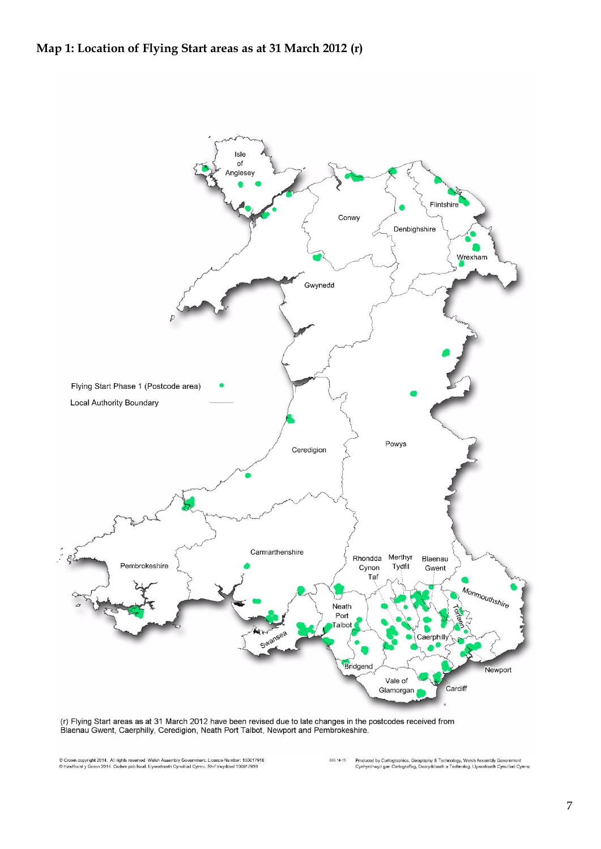<span id="page-6-0"></span>

(r) Flying Start areas as at 31 March 2012 have been revised due to late changes in the postcodes received from<br>Blaenau Gwent, Caerphilly, Ceredigion, Neath Port Talbot, Newport and Pembrokeshire.

© Crown copyright 2014. All rights reserved. Welsh Assembly Government, Licence Number: 100017916<br>© Hawlfraint y Goron 2014. Cedwir pob hawl. Llywodraeth Cynulliad Cymru. Rhif trwydded 100017916

.<br>Produced by Cartographics, Geography & Technology, Welsh Assembly Government<br>Cynhyrchwyd gan Cartograffeg, Dearyddiaeth a Technoleg, Llywodraeth Cynulliad Cymru 055.14-15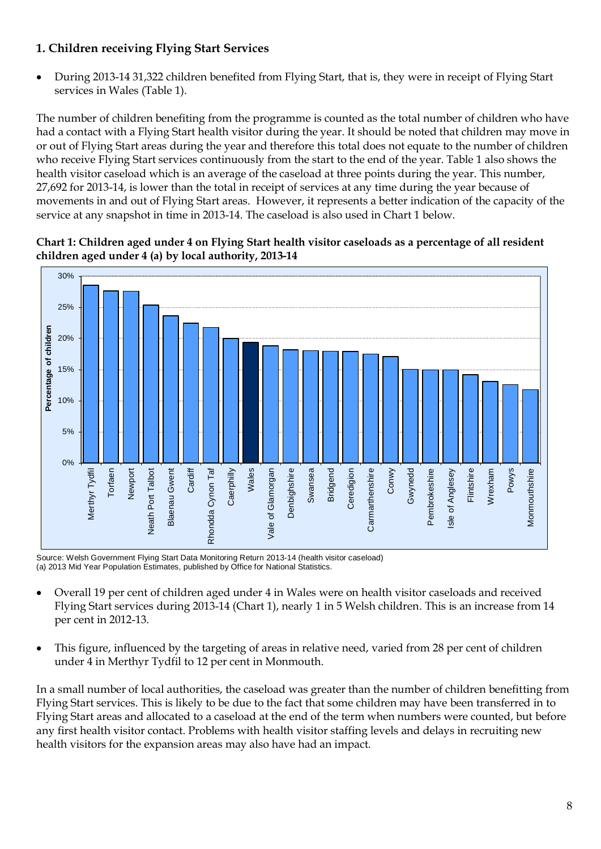# **1. Children receiving Flying Start Services**

During 2013-14 31,322 children benefited from Flying Start, that is, they were in receipt of Flying Start services in Wales (Table 1).

The number of children benefiting from the programme is counted as the total number of children who have had a contact with a Flying Start health visitor during the year. It should be noted that children may move in or out of Flying Start areas during the year and therefore this total does not equate to the number of children who receive Flying Start services continuously from the start to the end of the year. Table 1 also shows the health visitor caseload which is an average of the caseload at three points during the year. This number, 27,692 for 2013-14, is lower than the total in receipt of services at any time during the year because of movements in and out of Flying Start areas. However, it represents a better indication of the capacity of the service at any snapshot in time in 2013-14. The caseload is also used in Chart 1 below.

#### <span id="page-7-0"></span>**Chart 1: Children aged under 4 on Flying Start health visitor caseloads as a percentage of all resident children aged under 4 (a) by local authority, 2013-14**



Source: Welsh Government Flying Start Data Monitoring Return 2013-14 (health visitor caseload) (a) 2013 Mid Year Population Estimates, published by Office for National Statistics.

- Overall 19 per cent of children aged under 4 in Wales were on health visitor caseloads and received Flying Start services during 2013-14 (Chart 1), nearly 1 in 5 Welsh children. This is an increase from 14 per cent in 2012-13.
- This figure, influenced by the targeting of areas in relative need, varied from 28 per cent of children under 4 in Merthyr Tydfil to 12 per cent in Monmouth.

In a small number of local authorities, the caseload was greater than the number of children benefitting from Flying Start services. This is likely to be due to the fact that some children may have been transferred in to Flying Start areas and allocated to a caseload at the end of the term when numbers were counted, but before any first health visitor contact. Problems with health visitor staffing levels and delays in recruiting new health visitors for the expansion areas may also have had an impact.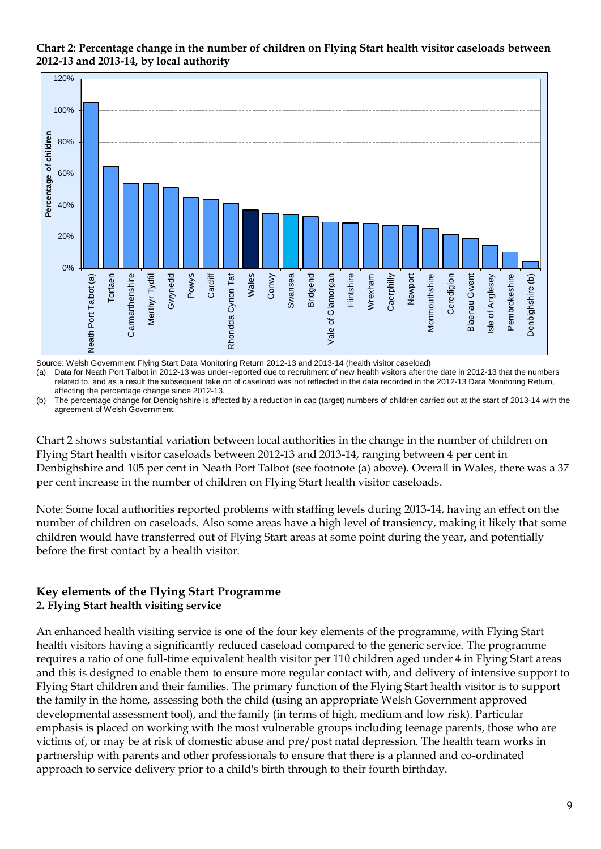

<span id="page-8-0"></span>**Chart 2: Percentage change in the number of children on Flying Start health visitor caseloads between 2012-13 and 2013-14, by local authority** 

Source: Welsh Government Flying Start Data Monitoring Return 2012-13 and 2013-14 (health visitor caseload)

(a) Data for Neath Port Talbot in 2012-13 was under-reported due to recruitment of new health visitors after the date in 2012-13 that the numbers related to, and as a result the subsequent take on of caseload was not reflected in the data recorded in the 2012-13 Data Monitoring Return, affecting the percentage change since 2012-13.

(b) The percentage change for Denbighshire is affected by a reduction in cap (target) numbers of children carried out at the start of 2013-14 with the agreement of Welsh Government.

Chart 2 shows substantial variation between local authorities in the change in the number of children on Flying Start health visitor caseloads between 2012-13 and 2013-14, ranging between 4 per cent in Denbighshire and 105 per cent in Neath Port Talbot (see footnote (a) above). Overall in Wales, there was a 37 per cent increase in the number of children on Flying Start health visitor caseloads.

Note: Some local authorities reported problems with staffing levels during 2013-14, having an effect on the number of children on caseloads. Also some areas have a high level of transiency, making it likely that some children would have transferred out of Flying Start areas at some point during the year, and potentially before the first contact by a health visitor.

# **Key elements of the Flying Start Programme 2. Flying Start health visiting service**

An enhanced health visiting service is one of the four key elements of the programme, with Flying Start health visitors having a significantly reduced caseload compared to the generic service. The programme requires a ratio of one full-time equivalent health visitor per 110 children aged under 4 in Flying Start areas and this is designed to enable them to ensure more regular contact with, and delivery of intensive support to Flying Start children and their families. The primary function of the Flying Start health visitor is to support the family in the home, assessing both the child (using an appropriate Welsh Government approved developmental assessment tool), and the family (in terms of high, medium and low risk). Particular emphasis is placed on working with the most vulnerable groups including teenage parents, those who are victims of, or may be at risk of domestic abuse and pre/post natal depression. The health team works in partnership with parents and other professionals to ensure that there is a planned and co-ordinated approach to service delivery prior to a child's birth through to their fourth birthday.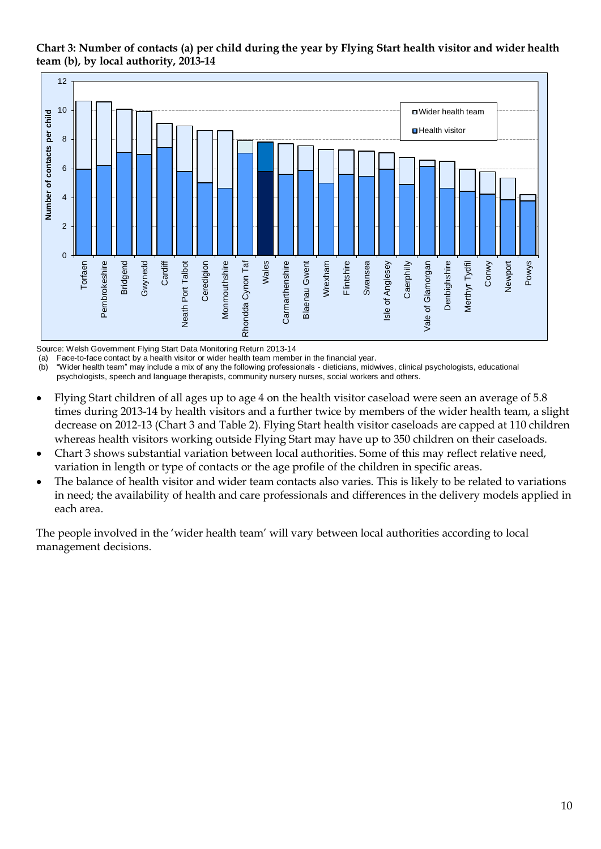# <span id="page-9-0"></span>**Chart 3: Number of contacts (a) per child during the year by Flying Start health visitor and wider health team (b), by local authority, 2013-14** rt<br>1 (<br><sup>12</sup>



Source: Welsh Government Flying Start Data Monitoring Return 2013-14

(a) Face-to-face contact by a health visitor or wider health team member in the financial year.

(b) "Wider health team" may include a mix of any the following professionals - dieticians, midwives, clinical psychologists, educational psychologists, speech and language therapists, community nursery nurses, social workers and others.

- Flying Start children of all ages up to age 4 on the health visitor caseload were seen an average of 5.8  $\bullet$ times during 2013-14 by health visitors and a further twice by members of the wider health team, a slight decrease on 2012-13 (Chart 3 and Table 2). Flying Start health visitor caseloads are capped at 110 children whereas health visitors working outside Flying Start may have up to 350 children on their caseloads.
- Chart 3 shows substantial variation between local authorities. Some of this may reflect relative need,  $\bullet$ variation in length or type of contacts or the age profile of the children in specific areas.
- The balance of health visitor and wider team contacts also varies. This is likely to be related to variations  $\bullet$ in need; the availability of health and care professionals and differences in the delivery models applied in each area.

<span id="page-9-1"></span>The people involved in the 'wider health team' will vary between local authorities according to local management decisions.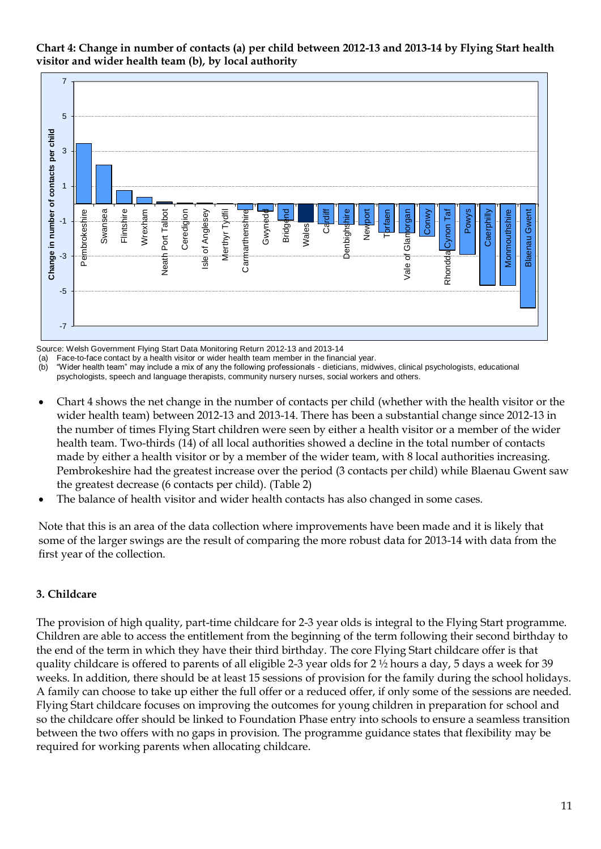

**Chart 4: Change in number of contacts (a) per child between 2012-13 and 2013-14 by Flying Start health visitor and wider health team (b), by local authority**

Source: Welsh Government Flying Start Data Monitoring Return 2012-13 and 2013-14

(a) Face-to-face contact by a health visitor or wider health team member in the financial year.

(b) "Wider health team" may include a mix of any the following professionals - dieticians, midwives, clinical psychologists, educational psychologists, speech and language therapists, community nursery nurses, social workers and others.

- Chart 4 shows the net change in the number of contacts per child (whether with the health visitor or the  $\bullet$ wider health team) between 2012-13 and 2013-14. There has been a substantial change since 2012-13 in the number of times Flying Start children were seen by either a health visitor or a member of the wider health team. Two-thirds (14) of all local authorities showed a decline in the total number of contacts made by either a health visitor or by a member of the wider team, with 8 local authorities increasing. Pembrokeshire had the greatest increase over the period (3 contacts per child) while Blaenau Gwent saw the greatest decrease (6 contacts per child). (Table 2)
- The balance of health visitor and wider health contacts has also changed in some cases.

Note that this is an area of the data collection where improvements have been made and it is likely that some of the larger swings are the result of comparing the more robust data for 2013-14 with data from the first year of the collection.

#### **3. Childcare**

<span id="page-10-0"></span>The provision of high quality, part-time childcare for 2-3 year olds is integral to the Flying Start programme. Children are able to access the entitlement from the beginning of the term following their second birthday to the end of the term in which they have their third birthday. The core Flying Start childcare offer is that quality childcare is offered to parents of all eligible 2-3 year olds for 2 ½ hours a day, 5 days a week for 39 weeks. In addition, there should be at least 15 sessions of provision for the family during the school holidays. A family can choose to take up either the full offer or a reduced offer, if only some of the sessions are needed. Flying Start childcare focuses on improving the outcomes for young children in preparation for school and so the childcare offer should be linked to Foundation Phase entry into schools to ensure a seamless transition between the two offers with no gaps in provision. The programme guidance states that flexibility may be required for working parents when allocating childcare.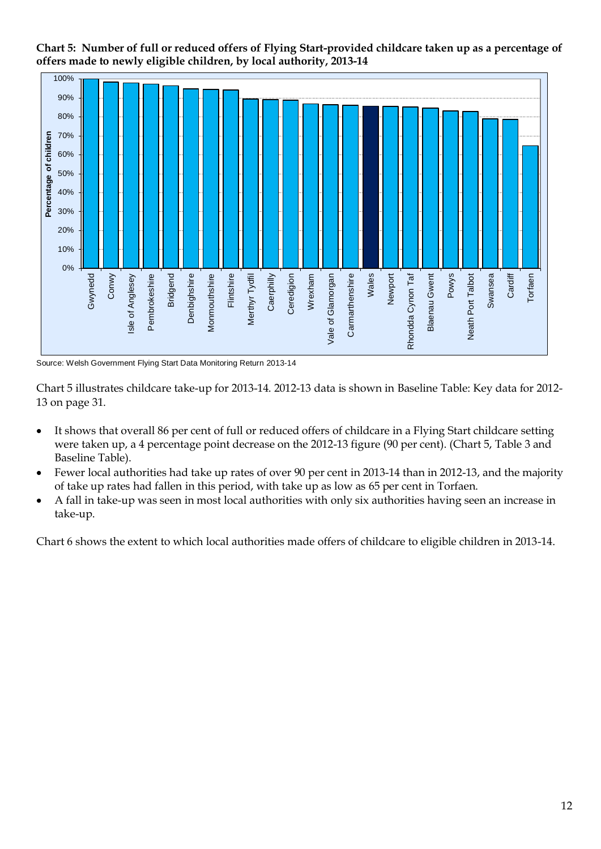



Source: Welsh Government Flying Start Data Monitoring Return 2013-14

Chart 5 illustrates childcare take-up for 2013-14. 2012-13 data is shown in Baseline Table: Key data for 2012- 13 on page 31.

- It shows that overall 86 per cent of full or reduced offers of childcare in a Flying Start childcare setting  $\bullet$ were taken up, a 4 percentage point decrease on the 2012-13 figure (90 per cent). (Chart 5, Table 3 and Baseline Table).
- Fewer local authorities had take up rates of over 90 per cent in 2013-14 than in 2012-13, and the majority  $\bullet$ of take up rates had fallen in this period, with take up as low as 65 per cent in Torfaen.
- $\bullet$ A fall in take-up was seen in most local authorities with only six authorities having seen an increase in take-up.

Chart 6 shows the extent to which local authorities made offers of childcare to eligible children in 2013-14.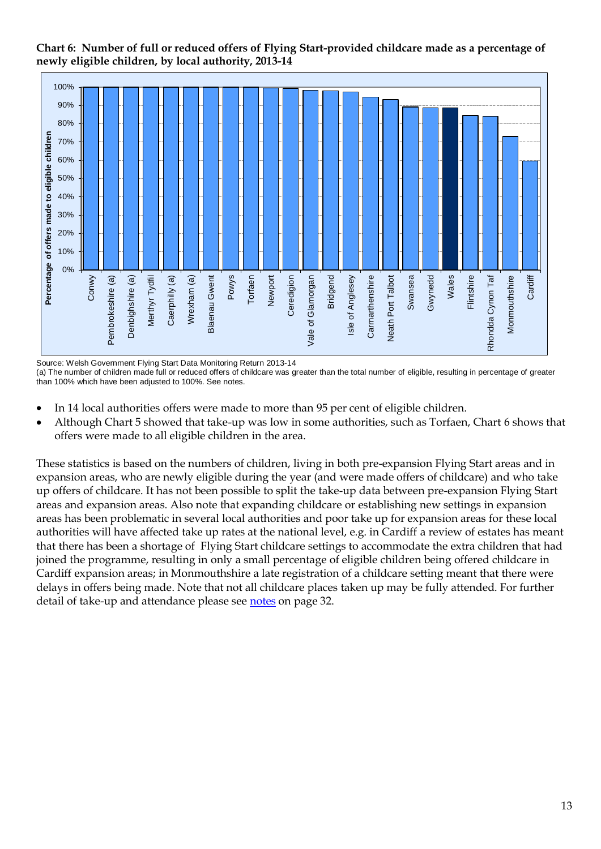<span id="page-12-0"></span>**Chart 6: Number of full or reduced offers of Flying Start-provided childcare made as a percentage of newly eligible children, by local authority, 2013-14**



Source: Welsh Government Flying Start Data Monitoring Return 2013-14

(a) The number of children made full or reduced offers of childcare was greater than the total number of eligible, resulting in percentage of greater than 100% which have been adjusted to 100%. See notes.

- In 14 local authorities offers were made to more than 95 per cent of eligible children.  $\bullet$
- Although Chart 5 showed that take-up was low in some authorities, such as Torfaen, Chart 6 shows that offers were made to all eligible children in the area.

These statistics is based on the numbers of children, living in both pre-expansion Flying Start areas and in expansion areas, who are newly eligible during the year (and were made offers of childcare) and who take up offers of childcare. It has not been possible to split the take-up data between pre-expansion Flying Start areas and expansion areas. Also note that expanding childcare or establishing new settings in expansion areas has been problematic in several local authorities and poor take up for expansion areas for these local authorities will have affected take up rates at the national level, e.g. in Cardiff a review of estates has meant that there has been a shortage of Flying Start childcare settings to accommodate the extra children that had joined the programme, resulting in only a small percentage of eligible children being offered childcare in Cardiff expansion areas; in Monmouthshire a late registration of a childcare setting meant that there were delays in offers being made. Note that not all childcare places taken up may be fully attended. For further detail of take-up and attendance please see [notes](#page-31-0) on page 32.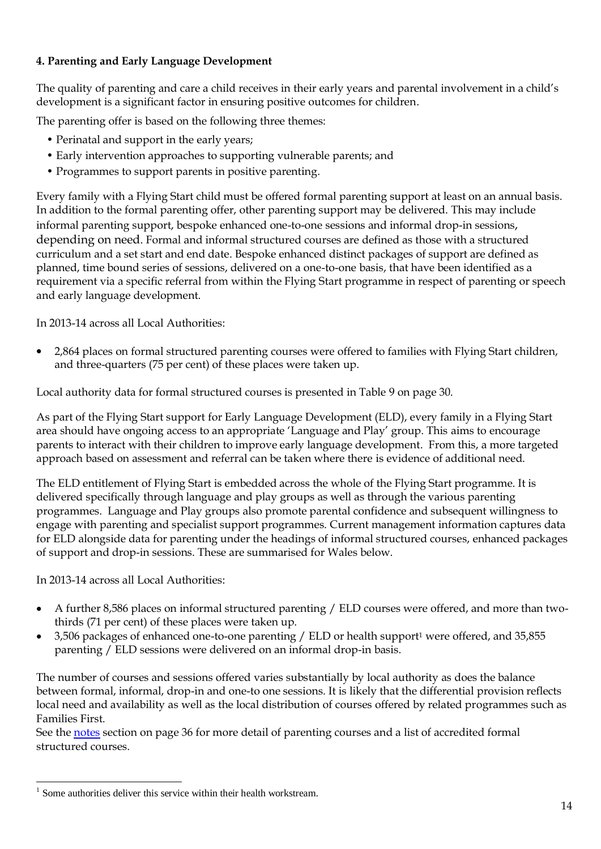# **4. Parenting and Early Language Development**

The quality of parenting and care a child receives in their early years and parental involvement in a child's development is a significant factor in ensuring positive outcomes for children.

The parenting offer is based on the following three themes:

- Perinatal and support in the early years;
- Early intervention approaches to supporting vulnerable parents; and
- Programmes to support parents in positive parenting.

Every family with a Flying Start child must be offered formal parenting support at least on an annual basis. In addition to the formal parenting offer, other parenting support may be delivered. This may include informal parenting support, bespoke enhanced one-to-one sessions and informal drop-in sessions, depending on need. Formal and informal structured courses are defined as those with a structured curriculum and a set start and end date. Bespoke enhanced distinct packages of support are defined as planned, time bound series of sessions, delivered on a one-to-one basis, that have been identified as a requirement via a specific referral from within the Flying Start programme in respect of parenting or speech and early language development.

In 2013-14 across all Local Authorities:

2,864 places on formal structured parenting courses were offered to families with Flying Start children,  $\bullet$ and three-quarters (75 per cent) of these places were taken up.

Local authority data for formal structured courses is presented in Table 9 on page 30.

As part of the Flying Start support for Early Language Development (ELD), every family in a Flying Start area should have ongoing access to an appropriate 'Language and Play' group. This aims to encourage parents to interact with their children to improve early language development. From this, a more targeted approach based on assessment and referral can be taken where there is evidence of additional need.

The ELD entitlement of Flying Start is embedded across the whole of the Flying Start programme. It is delivered specifically through language and play groups as well as through the various parenting programmes. Language and Play groups also promote parental confidence and subsequent willingness to engage with parenting and specialist support programmes. Current management information captures data for ELD alongside data for parenting under the headings of informal structured courses, enhanced packages of support and drop-in sessions. These are summarised for Wales below.

In 2013-14 across all Local Authorities:

- A further 8,586 places on informal structured parenting / ELD courses were offered, and more than twothirds (71 per cent) of these places were taken up.
- 3,506 packages of enhanced one-to-one parenting / ELD or health support<sup>1</sup> were offered, and 35,855 parenting / ELD sessions were delivered on an informal drop-in basis.

The number of courses and sessions offered varies substantially by local authority as does the balance between formal, informal, drop-in and one-to one sessions. It is likely that the differential provision reflects local need and availability as well as the local distribution of courses offered by related programmes such as Families First.

See the [notes](#page-34-0) section on page 36 for more detail of parenting courses and a list of accredited formal structured courses.

<sup>1</sup> 1 Some authorities deliver this service within their health workstream.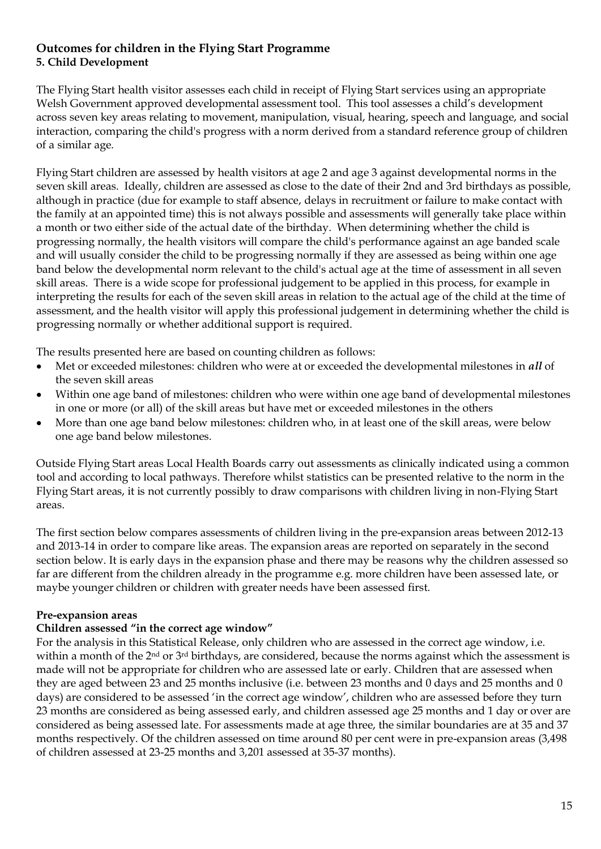#### **Outcomes for children in the Flying Start Programme 5. Child Development**

The Flying Start health visitor assesses each child in receipt of Flying Start services using an appropriate Welsh Government approved developmental assessment tool. This tool assesses a child's development across seven key areas relating to movement, manipulation, visual, hearing, speech and language, and social interaction, comparing the child's progress with a norm derived from a standard reference group of children of a similar age.

Flying Start children are assessed by health visitors at age 2 and age 3 against developmental norms in the seven skill areas. Ideally, children are assessed as close to the date of their 2nd and 3rd birthdays as possible, although in practice (due for example to staff absence, delays in recruitment or failure to make contact with the family at an appointed time) this is not always possible and assessments will generally take place within a month or two either side of the actual date of the birthday. When determining whether the child is progressing normally, the health visitors will compare the child's performance against an age banded scale and will usually consider the child to be progressing normally if they are assessed as being within one age band below the developmental norm relevant to the child's actual age at the time of assessment in all seven skill areas. There is a wide scope for professional judgement to be applied in this process, for example in interpreting the results for each of the seven skill areas in relation to the actual age of the child at the time of assessment, and the health visitor will apply this professional judgement in determining whether the child is progressing normally or whether additional support is required.

The results presented here are based on counting children as follows:

- Met or exceeded milestones: children who were at or exceeded the developmental milestones in *all* of the seven skill areas
- Within one age band of milestones: children who were within one age band of developmental milestones in one or more (or all) of the skill areas but have met or exceeded milestones in the others
- More than one age band below milestones: children who, in at least one of the skill areas, were below one age band below milestones.

Outside Flying Start areas Local Health Boards carry out assessments as clinically indicated using a common tool and according to local pathways. Therefore whilst statistics can be presented relative to the norm in the Flying Start areas, it is not currently possibly to draw comparisons with children living in non-Flying Start areas.

The first section below compares assessments of children living in the pre-expansion areas between 2012-13 and 2013-14 in order to compare like areas. The expansion areas are reported on separately in the second section below. It is early days in the expansion phase and there may be reasons why the children assessed so far are different from the children already in the programme e.g. more children have been assessed late, or maybe younger children or children with greater needs have been assessed first.

# **Pre-expansion areas**

# **Children assessed "in the correct age window"**

For the analysis in this Statistical Release, only children who are assessed in the correct age window, i.e. within a month of the 2<sup>nd</sup> or 3<sup>rd</sup> birthdays, are considered, because the norms against which the assessment is made will not be appropriate for children who are assessed late or early. Children that are assessed when they are aged between 23 and 25 months inclusive (i.e. between 23 months and 0 days and 25 months and 0 days) are considered to be assessed 'in the correct age window', children who are assessed before they turn 23 months are considered as being assessed early, and children assessed age 25 months and 1 day or over are considered as being assessed late. For assessments made at age three, the similar boundaries are at 35 and 37 months respectively. Of the children assessed on time around 80 per cent were in pre-expansion areas (3,498 of children assessed at 23-25 months and 3,201 assessed at 35-37 months).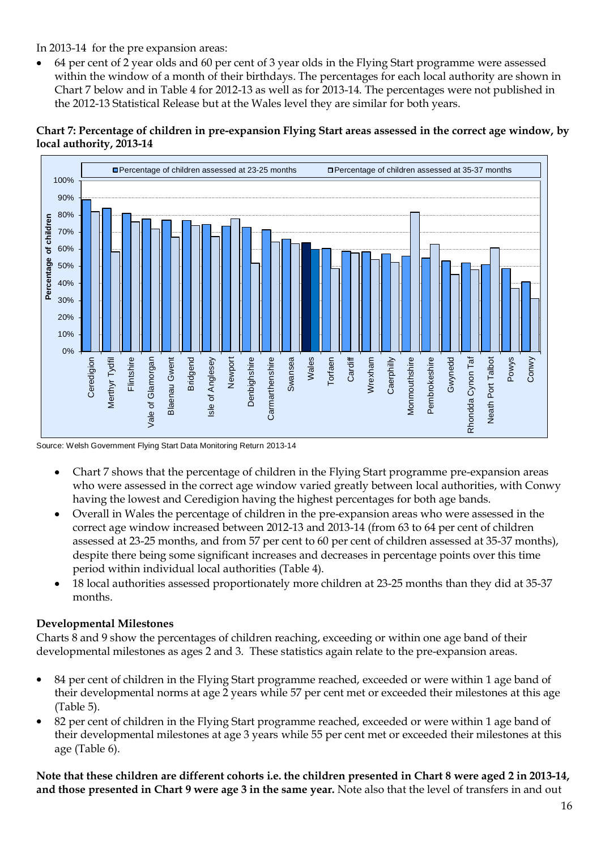In 2013-14 for the pre expansion areas:

64 per cent of 2 year olds and 60 per cent of 3 year olds in the Flying Start programme were assessed within the window of a month of their birthdays. The percentages for each local authority are shown in Chart 7 below and in Table 4 for 2012-13 as well as for 2013-14. The percentages were not published in the 2012-13 Statistical Release but at the Wales level they are similar for both years.

# <span id="page-15-0"></span>**Chart 7: Percentage of children in pre-expansion Flying Start areas assessed in the correct age window, by local authority, 2013-14**



Source: Welsh Government Flying Start Data Monitoring Return 2013-14

- Chart 7 shows that the percentage of children in the Flying Start programme pre-expansion areas who were assessed in the correct age window varied greatly between local authorities, with Conwy having the lowest and Ceredigion having the highest percentages for both age bands.
- Overall in Wales the percentage of children in the pre-expansion areas who were assessed in the correct age window increased between 2012-13 and 2013-14 (from 63 to 64 per cent of children assessed at 23-25 months, and from 57 per cent to 60 per cent of children assessed at 35-37 months), despite there being some significant increases and decreases in percentage points over this time period within individual local authorities (Table 4).
- 18 local authorities assessed proportionately more children at 23-25 months than they did at 35-37 months.

# **Developmental Milestones**

Charts 8 and 9 show the percentages of children reaching, exceeding or within one age band of their developmental milestones as ages 2 and 3. These statistics again relate to the pre-expansion areas.

- 84 per cent of children in the Flying Start programme reached, exceeded or were within 1 age band of their developmental norms at age 2 years while 57 per cent met or exceeded their milestones at this age (Table 5).
- 82 per cent of children in the Flying Start programme reached, exceeded or were within 1 age band of their developmental milestones at age 3 years while 55 per cent met or exceeded their milestones at this age (Table 6).

**Note that these children are different cohorts i.e. the children presented in Chart 8 were aged 2 in 2013-14, and those presented in Chart 9 were age 3 in the same year.** Note also that the level of transfers in and out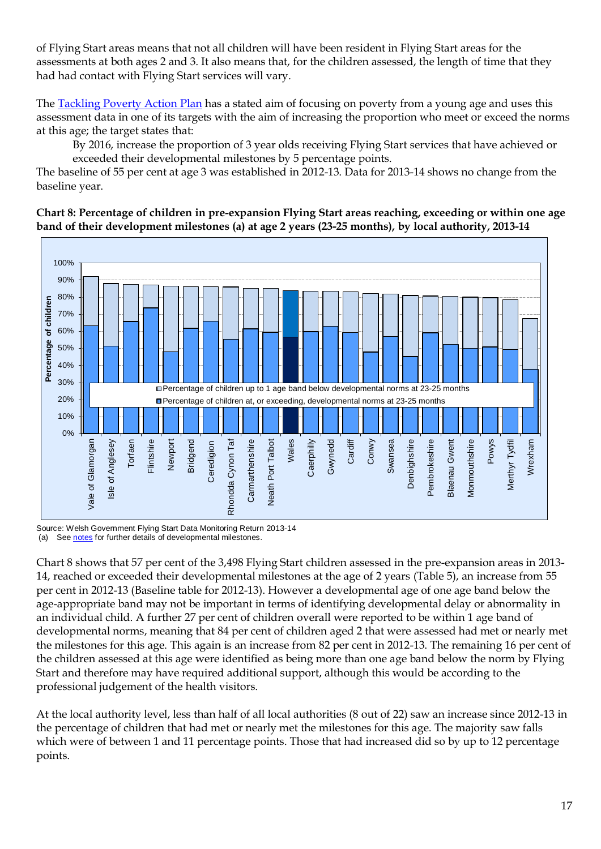of Flying Start areas means that not all children will have been resident in Flying Start areas for the assessments at both ages 2 and 3. It also means that, for the children assessed, the length of time that they had had contact with Flying Start services will vary.

The [Tackling Poverty Action Plan](http://wales.gov.uk/topics/socialjustice/publications/taking-forward-tack-pov-plan/?lang=en) has a stated aim of focusing on poverty from a young age and uses this assessment data in one of its targets with the aim of increasing the proportion who meet or exceed the norms at this age; the target states that:

By 2016, increase the proportion of 3 year olds receiving Flying Start services that have achieved or exceeded their developmental milestones by 5 percentage points.

The baseline of 55 per cent at age 3 was established in 2012-13. Data for 2013-14 shows no change from the baseline year.

<span id="page-16-0"></span>**Chart 8: Percentage of children in pre-expansion Flying Start areas reaching, exceeding or within one age band of their development milestones (a) at age 2 years (23-25 months), by local authority, 2013-14**



Source: Welsh Government Flying Start Data Monitoring Return 2013-14 (a) Se[e notes](#page-31-0) for further details of developmental milestones.

Chart 8 shows that 57 per cent of the 3,498 Flying Start children assessed in the pre-expansion areas in 2013- 14, reached or exceeded their developmental milestones at the age of 2 years (Table 5), an increase from 55 per cent in 2012-13 (Baseline table for 2012-13). However a developmental age of one age band below the age-appropriate band may not be important in terms of identifying developmental delay or abnormality in an individual child. A further 27 per cent of children overall were reported to be within 1 age band of developmental norms, meaning that 84 per cent of children aged 2 that were assessed had met or nearly met the milestones for this age. This again is an increase from 82 per cent in 2012-13. The remaining 16 per cent of the children assessed at this age were identified as being more than one age band below the norm by Flying Start and therefore may have required additional support, although this would be according to the professional judgement of the health visitors.

At the local authority level, less than half of all local authorities (8 out of 22) saw an increase since 2012-13 in the percentage of children that had met or nearly met the milestones for this age. The majority saw falls which were of between 1 and 11 percentage points. Those that had increased did so by up to 12 percentage points.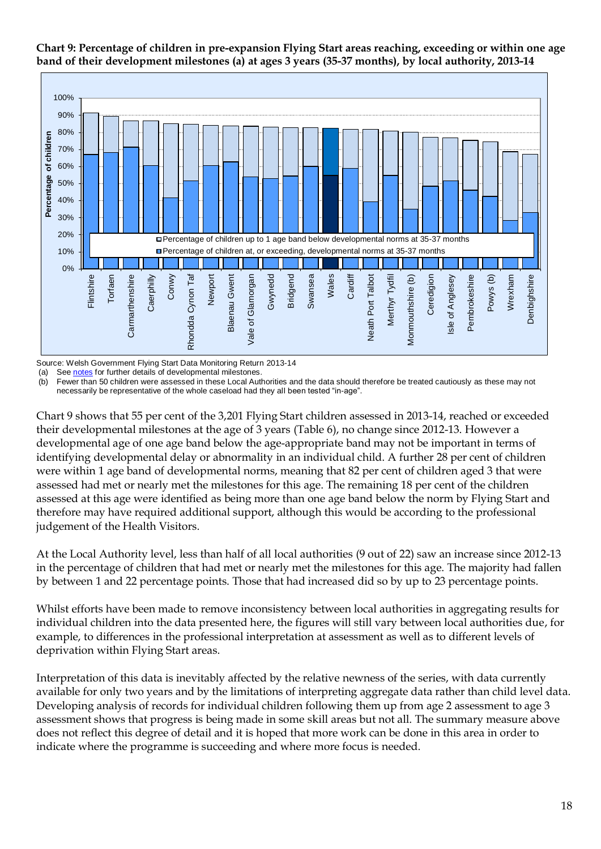<span id="page-17-0"></span>



Source: Welsh Government Flying Start Data Monitoring Return 2013-14

(a) Se[e notes](#page-31-0) for further details of developmental milestones

(b) Fewer than 50 children were assessed in these Local Authorities and the data should therefore be treated cautiously as these may not necessarily be representative of the whole caseload had they all been tested "in-age".

Chart 9 shows that 55 per cent of the 3,201 Flying Start children assessed in 2013-14, reached or exceeded their developmental milestones at the age of 3 years (Table 6), no change since 2012-13. However a developmental age of one age band below the age-appropriate band may not be important in terms of identifying developmental delay or abnormality in an individual child. A further 28 per cent of children were within 1 age band of developmental norms, meaning that 82 per cent of children aged 3 that were assessed had met or nearly met the milestones for this age. The remaining 18 per cent of the children assessed at this age were identified as being more than one age band below the norm by Flying Start and therefore may have required additional support, although this would be according to the professional judgement of the Health Visitors.

At the Local Authority level, less than half of all local authorities (9 out of 22) saw an increase since 2012-13 in the percentage of children that had met or nearly met the milestones for this age. The majority had fallen by between 1 and 22 percentage points. Those that had increased did so by up to 23 percentage points.

Whilst efforts have been made to remove inconsistency between local authorities in aggregating results for individual children into the data presented here, the figures will still vary between local authorities due, for example, to differences in the professional interpretation at assessment as well as to different levels of deprivation within Flying Start areas.

Interpretation of this data is inevitably affected by the relative newness of the series, with data currently available for only two years and by the limitations of interpreting aggregate data rather than child level data. Developing analysis of records for individual children following them up from age 2 assessment to age 3 assessment shows that progress is being made in some skill areas but not all. The summary measure above does not reflect this degree of detail and it is hoped that more work can be done in this area in order to indicate where the programme is succeeding and where more focus is needed.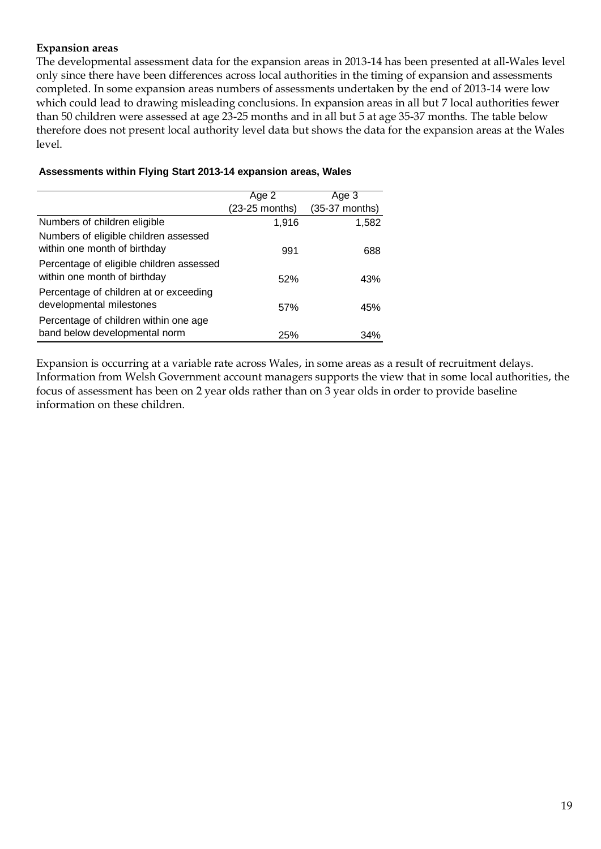#### **Expansion areas**

The developmental assessment data for the expansion areas in 2013-14 has been presented at all-Wales level only since there have been differences across local authorities in the timing of expansion and assessments completed. In some expansion areas numbers of assessments undertaken by the end of 2013-14 were low which could lead to drawing misleading conclusions. In expansion areas in all but 7 local authorities fewer than 50 children were assessed at age 23-25 months and in all but 5 at age 35-37 months. The table below therefore does not present local authority level data but shows the data for the expansion areas at the Wales level.

|                                                                          | Age 2          | Age 3          |
|--------------------------------------------------------------------------|----------------|----------------|
|                                                                          | (23-25 months) | (35-37 months) |
| Numbers of children eligible                                             | 1,916          | 1,582          |
| Numbers of eligible children assessed<br>within one month of birthday    | 991            | 688            |
| Percentage of eligible children assessed<br>within one month of birthday | 52%            | 43%            |
| Percentage of children at or exceeding<br>developmental milestones       | 57%            | 45%            |
| Percentage of children within one age<br>band below developmental norm   | 25%            | 34%            |

#### **Assessments within Flying Start 2013-14 expansion areas, Wales**

Expansion is occurring at a variable rate across Wales, in some areas as a result of recruitment delays. Information from Welsh Government account managers supports the view that in some local authorities, the focus of assessment has been on 2 year olds rather than on 3 year olds in order to provide baseline information on these children.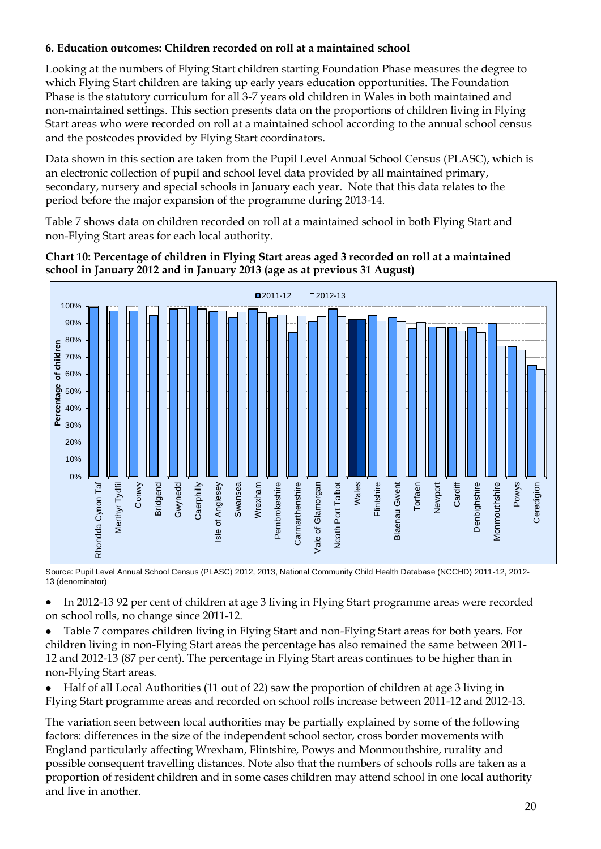# **6. Education outcomes: Children recorded on roll at a maintained school**

Looking at the numbers of Flying Start children starting Foundation Phase measures the degree to which Flying Start children are taking up early years education opportunities. The Foundation Phase is the statutory curriculum for all 3-7 years old children in Wales in both maintained and non-maintained settings. This section presents data on the proportions of children living in Flying Start areas who were recorded on roll at a maintained school according to the annual school census and the postcodes provided by Flying Start coordinators.

Data shown in this section are taken from the Pupil Level Annual School Census (PLASC), which is an electronic collection of pupil and school level data provided by all maintained primary, secondary, nursery and special schools in January each year. Note that this data relates to the period before the major expansion of the programme during 2013-14.

Table 7 shows data on children recorded on roll at a maintained school in both Flying Start and non-Flying Start areas for each local authority.

#### <span id="page-19-0"></span>**Chart 10: Percentage of children in Flying Start areas aged 3 recorded on roll at a maintained school in January 2012 and in January 2013 (age as at previous 31 August)**



Source: Pupil Level Annual School Census (PLASC) 2012, 2013, National Community Child Health Database (NCCHD) 2011-12, 2012- 13 (denominator)

In 2012-13 92 per cent of children at age 3 living in Flying Start programme areas were recorded on school rolls, no change since 2011-12.

Table 7 compares children living in Flying Start and non-Flying Start areas for both years. For children living in non-Flying Start areas the percentage has also remained the same between 2011- 12 and 2012-13 (87 per cent). The percentage in Flying Start areas continues to be higher than in non-Flying Start areas.

Half of all Local Authorities (11 out of 22) saw the proportion of children at age 3 living in Flying Start programme areas and recorded on school rolls increase between 2011-12 and 2012-13.

The variation seen between local authorities may be partially explained by some of the following factors: differences in the size of the independent school sector, cross border movements with England particularly affecting Wrexham, Flintshire, Powys and Monmouthshire, rurality and possible consequent travelling distances. Note also that the numbers of schools rolls are taken as a proportion of resident children and in some cases children may attend school in one local authority and live in another.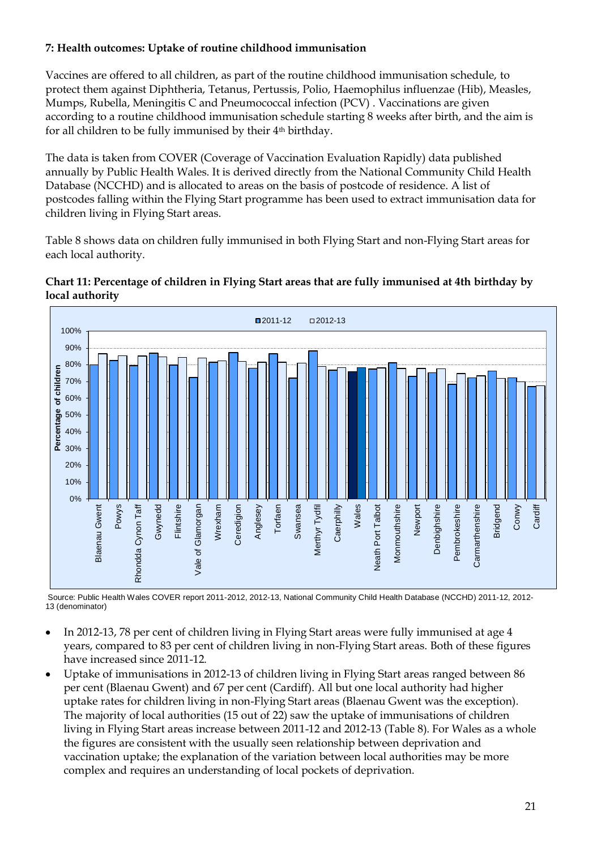# **7: Health outcomes: Uptake of routine childhood immunisation**

Vaccines are offered to all children, as part of the routine childhood immunisation schedule, to protect them against Diphtheria, Tetanus, Pertussis, Polio, Haemophilus influenzae (Hib), Measles, Mumps, Rubella, Meningitis C and Pneumococcal infection (PCV) . Vaccinations are given according to a routine childhood immunisation schedule starting 8 weeks after birth, and the aim is for all children to be fully immunised by their 4th birthday.

The data is taken from COVER (Coverage of Vaccination Evaluation Rapidly) data published annually by Public Health Wales. It is derived directly from the National Community Child Health Database (NCCHD) and is allocated to areas on the basis of postcode of residence. A list of postcodes falling within the Flying Start programme has been used to extract immunisation data for children living in Flying Start areas.

Table 8 shows data on children fully immunised in both Flying Start and non-Flying Start areas for each local authority.

#### <span id="page-20-0"></span>**Chart 11: Percentage of children in Flying Start areas that are fully immunised at 4th birthday by local authority**



Source: Public Health Wales COVER report 2011-2012, 2012-13, National Community Child Health Database (NCCHD) 2011-12, 2012- 13 (denominator)

- In 2012-13, 78 per cent of children living in Flying Start areas were fully immunised at age 4 years, compared to 83 per cent of children living in non-Flying Start areas. Both of these figures have increased since 2011-12.
- Uptake of immunisations in 2012-13 of children living in Flying Start areas ranged between 86  $\bullet$ per cent (Blaenau Gwent) and 67 per cent (Cardiff). All but one local authority had higher uptake rates for children living in non-Flying Start areas (Blaenau Gwent was the exception). The majority of local authorities (15 out of 22) saw the uptake of immunisations of children living in Flying Start areas increase between 2011-12 and 2012-13 (Table 8). For Wales as a whole the figures are consistent with the usually seen relationship between deprivation and vaccination uptake; the explanation of the variation between local authorities may be more complex and requires an understanding of local pockets of deprivation.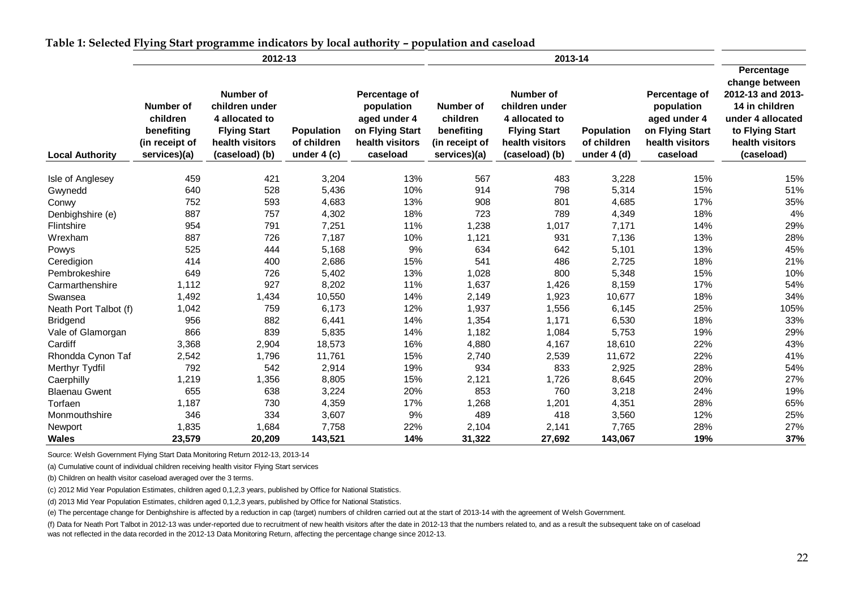|                        |                                                                       | 2012-13                                                                                                   |                                           |                                                                                               |                                                                              | 2013-14                                                                                                          |                                                  |                                                                                               |                                                                                                                                              |
|------------------------|-----------------------------------------------------------------------|-----------------------------------------------------------------------------------------------------------|-------------------------------------------|-----------------------------------------------------------------------------------------------|------------------------------------------------------------------------------|------------------------------------------------------------------------------------------------------------------|--------------------------------------------------|-----------------------------------------------------------------------------------------------|----------------------------------------------------------------------------------------------------------------------------------------------|
| <b>Local Authority</b> | Number of<br>children<br>benefiting<br>(in receipt of<br>services)(a) | Number of<br>children under<br>4 allocated to<br><b>Flying Start</b><br>health visitors<br>(caseload) (b) | Population<br>of children<br>under $4(c)$ | Percentage of<br>population<br>aged under 4<br>on Flying Start<br>health visitors<br>caseload | <b>Number of</b><br>children<br>benefiting<br>(in receipt of<br>services)(a) | <b>Number of</b><br>children under<br>4 allocated to<br><b>Flying Start</b><br>health visitors<br>(caseload) (b) | <b>Population</b><br>of children<br>under $4(d)$ | Percentage of<br>population<br>aged under 4<br>on Flying Start<br>health visitors<br>caseload | Percentage<br>change between<br>2012-13 and 2013-<br>14 in children<br>under 4 allocated<br>to Flying Start<br>health visitors<br>(caseload) |
| Isle of Anglesey       | 459                                                                   | 421                                                                                                       | 3,204                                     | 13%                                                                                           | 567                                                                          | 483                                                                                                              | 3,228                                            | 15%                                                                                           | 15%                                                                                                                                          |
| Gwynedd                | 640                                                                   | 528                                                                                                       | 5,436                                     | 10%                                                                                           | 914                                                                          | 798                                                                                                              | 5,314                                            | 15%                                                                                           | 51%                                                                                                                                          |
| Conwy                  | 752                                                                   | 593                                                                                                       | 4,683                                     | 13%                                                                                           | 908                                                                          | 801                                                                                                              | 4,685                                            | 17%                                                                                           | 35%                                                                                                                                          |
| Denbighshire (e)       | 887                                                                   | 757                                                                                                       | 4,302                                     | 18%                                                                                           | 723                                                                          | 789                                                                                                              | 4,349                                            | 18%                                                                                           | 4%                                                                                                                                           |
| Flintshire             | 954                                                                   | 791                                                                                                       | 7,251                                     | 11%                                                                                           | 1,238                                                                        | 1,017                                                                                                            | 7,171                                            | 14%                                                                                           | 29%                                                                                                                                          |
| Wrexham                | 887                                                                   | 726                                                                                                       | 7,187                                     | 10%                                                                                           | 1,121                                                                        | 931                                                                                                              | 7,136                                            | 13%                                                                                           | 28%                                                                                                                                          |
| Powys                  | 525                                                                   | 444                                                                                                       | 5,168                                     | 9%                                                                                            | 634                                                                          | 642                                                                                                              | 5,101                                            | 13%                                                                                           | 45%                                                                                                                                          |
| Ceredigion             | 414                                                                   | 400                                                                                                       | 2,686                                     | 15%                                                                                           | 541                                                                          | 486                                                                                                              | 2,725                                            | 18%                                                                                           | 21%                                                                                                                                          |
| Pembrokeshire          | 649                                                                   | 726                                                                                                       | 5,402                                     | 13%                                                                                           | 1,028                                                                        | 800                                                                                                              | 5,348                                            | 15%                                                                                           | 10%                                                                                                                                          |
| Carmarthenshire        | 1,112                                                                 | 927                                                                                                       | 8,202                                     | 11%                                                                                           | 1,637                                                                        | 1,426                                                                                                            | 8,159                                            | 17%                                                                                           | 54%                                                                                                                                          |
| Swansea                | 1,492                                                                 | 1,434                                                                                                     | 10,550                                    | 14%                                                                                           | 2,149                                                                        | 1,923                                                                                                            | 10,677                                           | 18%                                                                                           | 34%                                                                                                                                          |
| Neath Port Talbot (f)  | 1,042                                                                 | 759                                                                                                       | 6,173                                     | 12%                                                                                           | 1,937                                                                        | 1,556                                                                                                            | 6,145                                            | 25%                                                                                           | 105%                                                                                                                                         |
| <b>Bridgend</b>        | 956                                                                   | 882                                                                                                       | 6,441                                     | 14%                                                                                           | 1,354                                                                        | 1,171                                                                                                            | 6,530                                            | 18%                                                                                           | 33%                                                                                                                                          |
| Vale of Glamorgan      | 866                                                                   | 839                                                                                                       | 5,835                                     | 14%                                                                                           | 1,182                                                                        | 1,084                                                                                                            | 5,753                                            | 19%                                                                                           | 29%                                                                                                                                          |
| Cardiff                | 3,368                                                                 | 2,904                                                                                                     | 18,573                                    | 16%                                                                                           | 4,880                                                                        | 4,167                                                                                                            | 18,610                                           | 22%                                                                                           | 43%                                                                                                                                          |
| Rhondda Cynon Taf      | 2,542                                                                 | 1,796                                                                                                     | 11,761                                    | 15%                                                                                           | 2,740                                                                        | 2,539                                                                                                            | 11,672                                           | 22%                                                                                           | 41%                                                                                                                                          |
| Merthyr Tydfil         | 792                                                                   | 542                                                                                                       | 2,914                                     | 19%                                                                                           | 934                                                                          | 833                                                                                                              | 2,925                                            | 28%                                                                                           | 54%                                                                                                                                          |
| Caerphilly             | 1,219                                                                 | 1,356                                                                                                     | 8,805                                     | 15%                                                                                           | 2,121                                                                        | 1,726                                                                                                            | 8,645                                            | 20%                                                                                           | 27%                                                                                                                                          |
| <b>Blaenau Gwent</b>   | 655                                                                   | 638                                                                                                       | 3,224                                     | 20%                                                                                           | 853                                                                          | 760                                                                                                              | 3,218                                            | 24%                                                                                           | 19%                                                                                                                                          |
| Torfaen                | 1,187                                                                 | 730                                                                                                       | 4,359                                     | 17%                                                                                           | 1,268                                                                        | 1,201                                                                                                            | 4,351                                            | 28%                                                                                           | 65%                                                                                                                                          |
| Monmouthshire          | 346                                                                   | 334                                                                                                       | 3,607                                     | 9%                                                                                            | 489                                                                          | 418                                                                                                              | 3,560                                            | 12%                                                                                           | 25%                                                                                                                                          |
| Newport                | 1,835                                                                 | 1,684                                                                                                     | 7,758                                     | 22%                                                                                           | 2,104                                                                        | 2,141                                                                                                            | 7,765                                            | 28%                                                                                           | 27%                                                                                                                                          |
| <b>Wales</b>           | 23,579                                                                | 20,209                                                                                                    | 143,521                                   | 14%                                                                                           | 31,322                                                                       | 27,692                                                                                                           | 143,067                                          | 19%                                                                                           | 37%                                                                                                                                          |

**Table 1: Selected Flying Start programme indicators by local authority – population and caseload**

<span id="page-21-1"></span><span id="page-21-0"></span>Source: Welsh Government Flying Start Data Monitoring Return 2012-13, 2013-14

(a) Cumulative count of individual children receiving health visitor Flying Start services

(b) Children on health visitor caseload averaged over the 3 terms.

(c) 2012 Mid Year Population Estimates, children aged 0,1,2,3 years, published by Office for National Statistics.

(d) 2013 Mid Year Population Estimates, children aged 0,1,2,3 years, published by Office for National Statistics.

(e) The percentage change for Denbighshire is affected by a reduction in cap (target) numbers of children carried out at the start of 2013-14 with the agreement of Welsh Government.

(f) Data for Neath Port Talbot in 2012-13 was under-reported due to recruitment of new health visitors after the date in 2012-13 that the numbers related to, and as a result the subsequent take on of caseload was not reflected in the data recorded in the 2012-13 Data Monitoring Return, affecting the percentage change since 2012-13.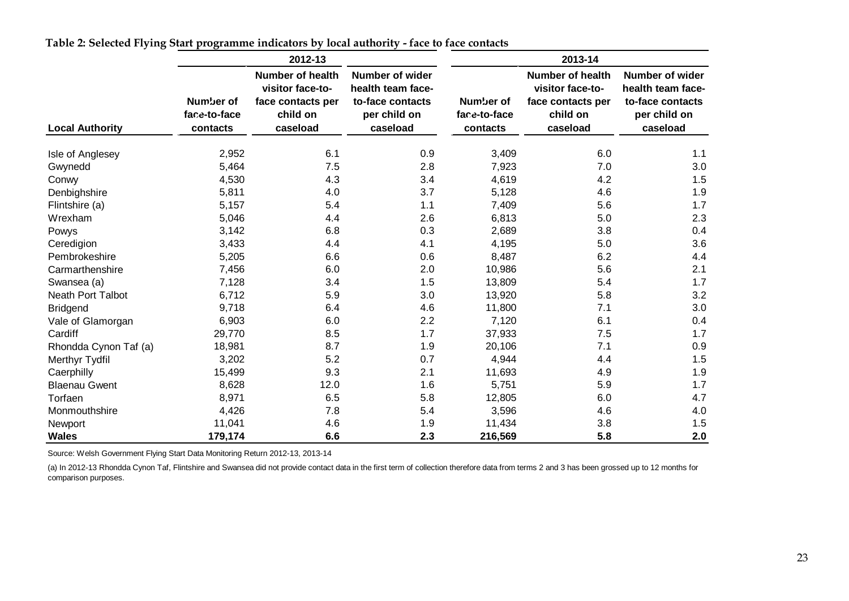|                          |                                       | 2012-13                                                                                  |                                                                                             |                                       | 2013-14                                                                                  |                                                                                      |
|--------------------------|---------------------------------------|------------------------------------------------------------------------------------------|---------------------------------------------------------------------------------------------|---------------------------------------|------------------------------------------------------------------------------------------|--------------------------------------------------------------------------------------|
| <b>Local Authority</b>   | Number of<br>face-to-face<br>contacts | <b>Number of health</b><br>visitor face-to-<br>face contacts per<br>child on<br>caseload | <b>Number of wider</b><br>health team face-<br>to-face contacts<br>per child on<br>caseload | Number of<br>face-to-face<br>contacts | <b>Number of health</b><br>visitor face-to-<br>face contacts per<br>child on<br>caseload | Number of wider<br>health team face-<br>to-face contacts<br>per child on<br>caseload |
| Isle of Anglesey         | 2,952                                 | 6.1                                                                                      | 0.9                                                                                         | 3,409                                 | 6.0                                                                                      | 1.1                                                                                  |
| Gwynedd                  | 5,464                                 | 7.5                                                                                      | 2.8                                                                                         | 7,923                                 | 7.0                                                                                      | 3.0                                                                                  |
| Conwy                    | 4,530                                 | 4.3                                                                                      | 3.4                                                                                         | 4,619                                 | 4.2                                                                                      | 1.5                                                                                  |
| Denbighshire             | 5,811                                 | 4.0                                                                                      | 3.7                                                                                         | 5,128                                 | 4.6                                                                                      | 1.9                                                                                  |
| Flintshire (a)           | 5,157                                 | 5.4                                                                                      | 1.1                                                                                         | 7,409                                 | 5.6                                                                                      | 1.7                                                                                  |
| Wrexham                  | 5,046                                 | 4.4                                                                                      | 2.6                                                                                         | 6,813                                 | 5.0                                                                                      | 2.3                                                                                  |
| Powys                    | 3,142                                 | 6.8                                                                                      | 0.3                                                                                         | 2,689                                 | 3.8                                                                                      | 0.4                                                                                  |
| Ceredigion               | 3,433                                 | 4.4                                                                                      | 4.1                                                                                         | 4,195                                 | 5.0                                                                                      | 3.6                                                                                  |
| Pembrokeshire            | 5,205                                 | 6.6                                                                                      | 0.6                                                                                         | 8,487                                 | 6.2                                                                                      | 4.4                                                                                  |
| Carmarthenshire          | 7,456                                 | 6.0                                                                                      | 2.0                                                                                         | 10,986                                | 5.6                                                                                      | 2.1                                                                                  |
| Swansea (a)              | 7,128                                 | 3.4                                                                                      | 1.5                                                                                         | 13,809                                | 5.4                                                                                      | 1.7                                                                                  |
| <b>Neath Port Talbot</b> | 6,712                                 | 5.9                                                                                      | 3.0                                                                                         | 13,920                                | 5.8                                                                                      | 3.2                                                                                  |
| <b>Bridgend</b>          | 9,718                                 | 6.4                                                                                      | 4.6                                                                                         | 11,800                                | 7.1                                                                                      | 3.0                                                                                  |
| Vale of Glamorgan        | 6,903                                 | 6.0                                                                                      | 2.2                                                                                         | 7,120                                 | 6.1                                                                                      | 0.4                                                                                  |
| Cardiff                  | 29,770                                | 8.5                                                                                      | 1.7                                                                                         | 37,933                                | 7.5                                                                                      | 1.7                                                                                  |
| Rhondda Cynon Taf (a)    | 18,981                                | 8.7                                                                                      | 1.9                                                                                         | 20,106                                | 7.1                                                                                      | 0.9                                                                                  |
| Merthyr Tydfil           | 3,202                                 | 5.2                                                                                      | 0.7                                                                                         | 4,944                                 | 4.4                                                                                      | 1.5                                                                                  |
| Caerphilly               | 15,499                                | 9.3                                                                                      | 2.1                                                                                         | 11,693                                | 4.9                                                                                      | 1.9                                                                                  |
| <b>Blaenau Gwent</b>     | 8,628                                 | 12.0                                                                                     | 1.6                                                                                         | 5,751                                 | 5.9                                                                                      | 1.7                                                                                  |
| Torfaen                  | 8,971                                 | 6.5                                                                                      | 5.8                                                                                         | 12,805                                | 6.0                                                                                      | 4.7                                                                                  |
| Monmouthshire            | 4,426                                 | 7.8                                                                                      | 5.4                                                                                         | 3,596                                 | 4.6                                                                                      | 4.0                                                                                  |
| Newport                  | 11,041                                | 4.6                                                                                      | 1.9                                                                                         | 11,434                                | 3.8                                                                                      | 1.5                                                                                  |
| <b>Wales</b>             | 179,174                               | 6.6                                                                                      | 2.3                                                                                         | 216,569                               | 5.8                                                                                      | 2.0                                                                                  |

**Table 2: Selected Flying Start programme indicators by local authority - face to face contacts** 

Source: Welsh Government Flying Start Data Monitoring Return 2012-13, 2013-14

(a) In 2012-13 Rhondda Cynon Taf, Flintshire and Swansea did not provide contact data in the first term of collection therefore data from terms 2 and 3 has been grossed up to 12 months for comparison purposes.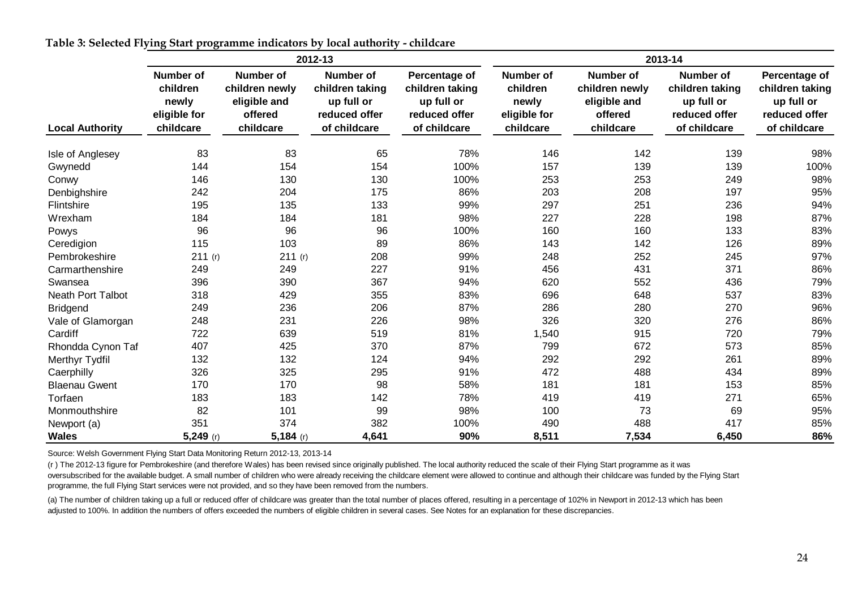|                          |                                                             |                                                                     | 2012-13                                                                            |                                                                                 | 2013-14                                                            |                                                                            |                                                                                    |                                                                                 |  |  |
|--------------------------|-------------------------------------------------------------|---------------------------------------------------------------------|------------------------------------------------------------------------------------|---------------------------------------------------------------------------------|--------------------------------------------------------------------|----------------------------------------------------------------------------|------------------------------------------------------------------------------------|---------------------------------------------------------------------------------|--|--|
| <b>Local Authority</b>   | Number of<br>children<br>newly<br>eligible for<br>childcare | Number of<br>children newly<br>eligible and<br>offered<br>childcare | <b>Number of</b><br>children taking<br>up full or<br>reduced offer<br>of childcare | Percentage of<br>children taking<br>up full or<br>reduced offer<br>of childcare | <b>Number of</b><br>children<br>newly<br>eligible for<br>childcare | <b>Number of</b><br>children newly<br>eligible and<br>offered<br>childcare | <b>Number of</b><br>children taking<br>up full or<br>reduced offer<br>of childcare | Percentage of<br>children taking<br>up full or<br>reduced offer<br>of childcare |  |  |
| Isle of Anglesey         | 83                                                          | 83                                                                  | 65                                                                                 | 78%                                                                             | 146                                                                | 142                                                                        | 139                                                                                | 98%                                                                             |  |  |
| Gwynedd                  | 144                                                         | 154                                                                 | 154                                                                                | 100%                                                                            | 157                                                                | 139                                                                        | 139                                                                                | 100%                                                                            |  |  |
| Conwy                    | 146                                                         | 130                                                                 | 130                                                                                | 100%                                                                            | 253                                                                | 253                                                                        | 249                                                                                | 98%                                                                             |  |  |
| Denbighshire             | 242                                                         | 204                                                                 | 175                                                                                | 86%                                                                             | 203                                                                | 208                                                                        | 197                                                                                | 95%                                                                             |  |  |
| Flintshire               | 195                                                         | 135                                                                 | 133                                                                                | 99%                                                                             | 297                                                                | 251                                                                        | 236                                                                                | 94%                                                                             |  |  |
| Wrexham                  | 184                                                         | 184                                                                 | 181                                                                                | 98%                                                                             | 227                                                                | 228                                                                        | 198                                                                                | 87%                                                                             |  |  |
| Powys                    | 96                                                          | 96                                                                  | 96                                                                                 | 100%                                                                            | 160                                                                | 160                                                                        | 133                                                                                | 83%                                                                             |  |  |
| Ceredigion               | 115                                                         | 103                                                                 | 89                                                                                 | 86%                                                                             | 143                                                                | 142                                                                        | 126                                                                                | 89%                                                                             |  |  |
| Pembrokeshire            | 211(r)                                                      | 211(r)                                                              | 208                                                                                | 99%                                                                             | 248                                                                | 252                                                                        | 245                                                                                | 97%                                                                             |  |  |
| Carmarthenshire          | 249                                                         | 249                                                                 | 227                                                                                | 91%                                                                             | 456                                                                | 431                                                                        | 371                                                                                | 86%                                                                             |  |  |
| Swansea                  | 396                                                         | 390                                                                 | 367                                                                                | 94%                                                                             | 620                                                                | 552                                                                        | 436                                                                                | 79%                                                                             |  |  |
| <b>Neath Port Talbot</b> | 318                                                         | 429                                                                 | 355                                                                                | 83%                                                                             | 696                                                                | 648                                                                        | 537                                                                                | 83%                                                                             |  |  |
| <b>Bridgend</b>          | 249                                                         | 236                                                                 | 206                                                                                | 87%                                                                             | 286                                                                | 280                                                                        | 270                                                                                | 96%                                                                             |  |  |
| Vale of Glamorgan        | 248                                                         | 231                                                                 | 226                                                                                | 98%                                                                             | 326                                                                | 320                                                                        | 276                                                                                | 86%                                                                             |  |  |
| Cardiff                  | 722                                                         | 639                                                                 | 519                                                                                | 81%                                                                             | 1,540                                                              | 915                                                                        | 720                                                                                | 79%                                                                             |  |  |
| Rhondda Cynon Taf        | 407                                                         | 425                                                                 | 370                                                                                | 87%                                                                             | 799                                                                | 672                                                                        | 573                                                                                | 85%                                                                             |  |  |
| Merthyr Tydfil           | 132                                                         | 132                                                                 | 124                                                                                | 94%                                                                             | 292                                                                | 292                                                                        | 261                                                                                | 89%                                                                             |  |  |
| Caerphilly               | 326                                                         | 325                                                                 | 295                                                                                | 91%                                                                             | 472                                                                | 488                                                                        | 434                                                                                | 89%                                                                             |  |  |
| <b>Blaenau Gwent</b>     | 170                                                         | 170                                                                 | 98                                                                                 | 58%                                                                             | 181                                                                | 181                                                                        | 153                                                                                | 85%                                                                             |  |  |
| Torfaen                  | 183                                                         | 183                                                                 | 142                                                                                | 78%                                                                             | 419                                                                | 419                                                                        | 271                                                                                | 65%                                                                             |  |  |
| Monmouthshire            | 82                                                          | 101                                                                 | 99                                                                                 | 98%                                                                             | 100                                                                | 73                                                                         | 69                                                                                 | 95%                                                                             |  |  |
| Newport (a)              | 351                                                         | 374                                                                 | 382                                                                                | 100%                                                                            | 490                                                                | 488                                                                        | 417                                                                                | 85%                                                                             |  |  |
| Wales                    | $5,249$ (r)                                                 | $5,184$ (r)                                                         | 4,641                                                                              | 90%                                                                             | 8,511                                                              | 7,534                                                                      | 6,450                                                                              | 86%                                                                             |  |  |

**Table 3: Selected Flying Start programme indicators by local authority - childcare** 

<span id="page-23-0"></span>Source: Welsh Government Flying Start Data Monitoring Return 2012-13, 2013-14

(r ) The 2012-13 figure for Pembrokeshire (and therefore Wales) has been revised since originally published. The local authority reduced the scale of their Flying Start programme as it was oversubscribed for the available budget. A small number of children who were already receiving the childcare element were allowed to continue and although their childcare was funded by the Flying Start programme, the full Flying Start services were not provided, and so they have been removed from the numbers.

(a) The number of children taking up a full or reduced offer of childcare was greater than the total number of places offered, resulting in a percentage of 102% in Newport in 2012-13 which has been adjusted to 100%. In addition the numbers of offers exceeded the numbers of eligible children in several cases. See Notes for an explanation for these discrepancies.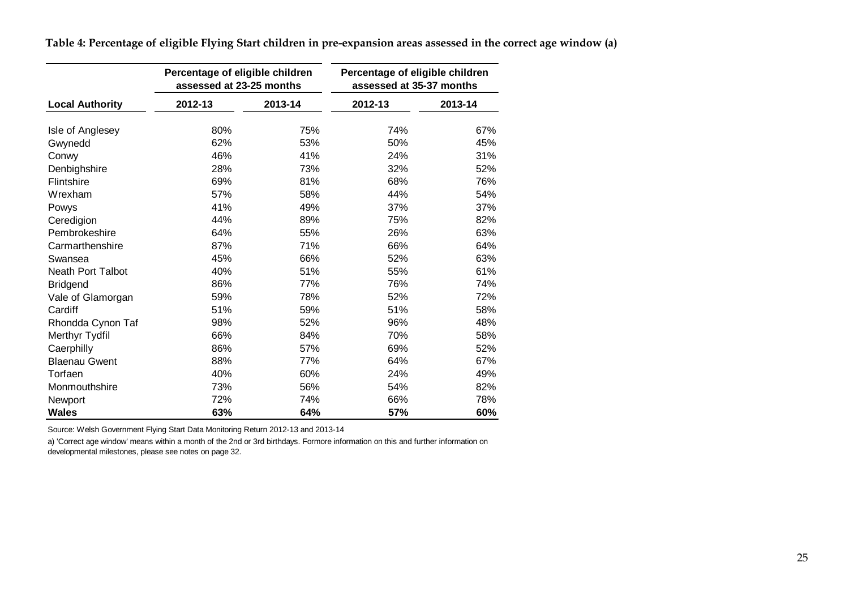|                          | Percentage of eligible children<br>assessed at 23-25 months |         | Percentage of eligible children<br>assessed at 35-37 months |         |  |  |
|--------------------------|-------------------------------------------------------------|---------|-------------------------------------------------------------|---------|--|--|
| <b>Local Authority</b>   | 2012-13                                                     | 2013-14 | 2012-13                                                     | 2013-14 |  |  |
| Isle of Anglesey         | 80%                                                         | 75%     | 74%                                                         | 67%     |  |  |
| Gwynedd                  | 62%                                                         | 53%     | 50%                                                         | 45%     |  |  |
| Conwy                    | 46%                                                         | 41%     | 24%                                                         | 31%     |  |  |
| Denbighshire             | 28%                                                         | 73%     | 32%                                                         | 52%     |  |  |
| Flintshire               | 69%                                                         | 81%     | 68%                                                         | 76%     |  |  |
| Wrexham                  | 57%                                                         | 58%     | 44%                                                         | 54%     |  |  |
| Powys                    | 41%                                                         | 49%     | 37%                                                         | 37%     |  |  |
| Ceredigion               | 44%                                                         | 89%     | 75%                                                         | 82%     |  |  |
| Pembrokeshire            | 64%                                                         | 55%     | 26%                                                         | 63%     |  |  |
| Carmarthenshire          | 87%                                                         | 71%     | 66%                                                         | 64%     |  |  |
| Swansea                  | 45%                                                         | 66%     | 52%                                                         | 63%     |  |  |
| <b>Neath Port Talbot</b> | 40%                                                         | 51%     | 55%                                                         | 61%     |  |  |
| <b>Bridgend</b>          | 86%                                                         | 77%     | 76%                                                         | 74%     |  |  |
| Vale of Glamorgan        | 59%                                                         | 78%     | 52%                                                         | 72%     |  |  |
| Cardiff                  | 51%                                                         | 59%     | 51%                                                         | 58%     |  |  |
| Rhondda Cynon Taf        | 98%                                                         | 52%     | 96%                                                         | 48%     |  |  |
| Merthyr Tydfil           | 66%                                                         | 84%     | 70%                                                         | 58%     |  |  |
| Caerphilly               | 86%                                                         | 57%     | 69%                                                         | 52%     |  |  |
| <b>Blaenau Gwent</b>     | 88%                                                         | 77%     | 64%                                                         | 67%     |  |  |
| Torfaen                  | 40%                                                         | 60%     | 24%                                                         | 49%     |  |  |
| Monmouthshire            | 73%                                                         | 56%     | 54%                                                         | 82%     |  |  |
| Newport                  | 72%                                                         | 74%     | 66%                                                         | 78%     |  |  |
| <b>Wales</b>             | 63%                                                         | 64%     | 57%                                                         | 60%     |  |  |

**Table 4: Percentage of eligible Flying Start children in pre-expansion areas assessed in the correct age window (a)**

<span id="page-24-0"></span>Source: Welsh Government Flying Start Data Monitoring Return 2012-13 and 2013-14

a) 'Correct age window' means within a month of the 2nd or 3rd birthdays. Formore information on this and further information on

developmental milestones, please see notes on page 32.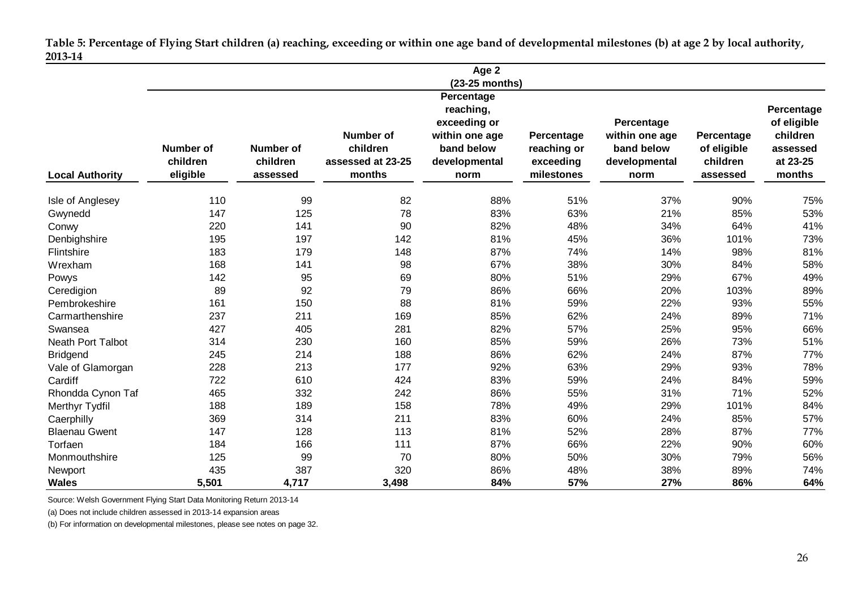**Table 5: Percentage of Flying Start children (a) reaching, exceeding or within one age band of developmental milestones (b) at age 2 by local authority, 2013-14**

|                        |                                          |                                          |                                                             | Age 2                                                 |                                                      |                                                       |                                                   |                                            |
|------------------------|------------------------------------------|------------------------------------------|-------------------------------------------------------------|-------------------------------------------------------|------------------------------------------------------|-------------------------------------------------------|---------------------------------------------------|--------------------------------------------|
|                        |                                          |                                          |                                                             | (23-25 months)                                        |                                                      |                                                       |                                                   |                                            |
|                        |                                          |                                          |                                                             | Percentage                                            |                                                      |                                                       |                                                   |                                            |
|                        |                                          |                                          |                                                             | reaching,                                             |                                                      |                                                       |                                                   | Percentage                                 |
|                        |                                          |                                          |                                                             | exceeding or                                          |                                                      | Percentage                                            |                                                   | of eligible                                |
| <b>Local Authority</b> | <b>Number of</b><br>children<br>eligible | <b>Number of</b><br>children<br>assessed | <b>Number of</b><br>children<br>assessed at 23-25<br>months | within one age<br>band below<br>developmental<br>norm | Percentage<br>reaching or<br>exceeding<br>milestones | within one age<br>band below<br>developmental<br>norm | Percentage<br>of eligible<br>children<br>assessed | children<br>assessed<br>at 23-25<br>months |
| Isle of Anglesey       | 110                                      | 99                                       | 82                                                          | 88%                                                   | 51%                                                  | 37%                                                   | 90%                                               | 75%                                        |
| Gwynedd                | 147                                      | 125                                      | 78                                                          | 83%                                                   | 63%                                                  | 21%                                                   | 85%                                               | 53%                                        |
| Conwy                  | 220                                      | 141                                      | 90                                                          | 82%                                                   | 48%                                                  | 34%                                                   | 64%                                               | 41%                                        |
| Denbighshire           | 195                                      | 197                                      | 142                                                         | 81%                                                   | 45%                                                  | 36%                                                   | 101%                                              | 73%                                        |
| Flintshire             | 183                                      | 179                                      | 148                                                         | 87%                                                   | 74%                                                  | 14%                                                   | 98%                                               | 81%                                        |
| Wrexham                | 168                                      | 141                                      | 98                                                          | 67%                                                   | 38%                                                  | 30%                                                   | 84%                                               | 58%                                        |
| Powys                  | 142                                      | 95                                       | 69                                                          | 80%                                                   | 51%                                                  | 29%                                                   | 67%                                               | 49%                                        |
| Ceredigion             | 89                                       | 92                                       | 79                                                          | 86%                                                   | 66%                                                  | 20%                                                   | 103%                                              | 89%                                        |
| Pembrokeshire          | 161                                      | 150                                      | 88                                                          | 81%                                                   | 59%                                                  | 22%                                                   | 93%                                               | 55%                                        |
| Carmarthenshire        | 237                                      | 211                                      | 169                                                         | 85%                                                   | 62%                                                  | 24%                                                   | 89%                                               | 71%                                        |
| Swansea                | 427                                      | 405                                      | 281                                                         | 82%                                                   | 57%                                                  | 25%                                                   | 95%                                               | 66%                                        |
| Neath Port Talbot      | 314                                      | 230                                      | 160                                                         | 85%                                                   | 59%                                                  | 26%                                                   | 73%                                               | 51%                                        |
| <b>Bridgend</b>        | 245                                      | 214                                      | 188                                                         | 86%                                                   | 62%                                                  | 24%                                                   | 87%                                               | 77%                                        |
| Vale of Glamorgan      | 228                                      | 213                                      | 177                                                         | 92%                                                   | 63%                                                  | 29%                                                   | 93%                                               | 78%                                        |
| Cardiff                | 722                                      | 610                                      | 424                                                         | 83%                                                   | 59%                                                  | 24%                                                   | 84%                                               | 59%                                        |
| Rhondda Cynon Taf      | 465                                      | 332                                      | 242                                                         | 86%                                                   | 55%                                                  | 31%                                                   | 71%                                               | 52%                                        |
| Merthyr Tydfil         | 188                                      | 189                                      | 158                                                         | 78%                                                   | 49%                                                  | 29%                                                   | 101%                                              | 84%                                        |
| Caerphilly             | 369                                      | 314                                      | 211                                                         | 83%                                                   | 60%                                                  | 24%                                                   | 85%                                               | 57%                                        |
| <b>Blaenau Gwent</b>   | 147                                      | 128                                      | 113                                                         | 81%                                                   | 52%                                                  | 28%                                                   | 87%                                               | 77%                                        |
| Torfaen                | 184                                      | 166                                      | 111                                                         | 87%                                                   | 66%                                                  | 22%                                                   | 90%                                               | 60%                                        |
| Monmouthshire          | 125                                      | 99                                       | 70                                                          | 80%                                                   | 50%                                                  | 30%                                                   | 79%                                               | 56%                                        |
| Newport                | 435                                      | 387                                      | 320                                                         | 86%                                                   | 48%                                                  | 38%                                                   | 89%                                               | 74%                                        |
| <b>Wales</b>           | 5,501                                    | 4,717                                    | 3,498                                                       | 84%                                                   | 57%                                                  | 27%                                                   | 86%                                               | 64%                                        |

<span id="page-25-0"></span>Source: Welsh Government Flying Start Data Monitoring Return 2013-14

(a) Does not include children assessed in 2013-14 expansion areas

(b) For information on developmental milestones, please see notes on page 32.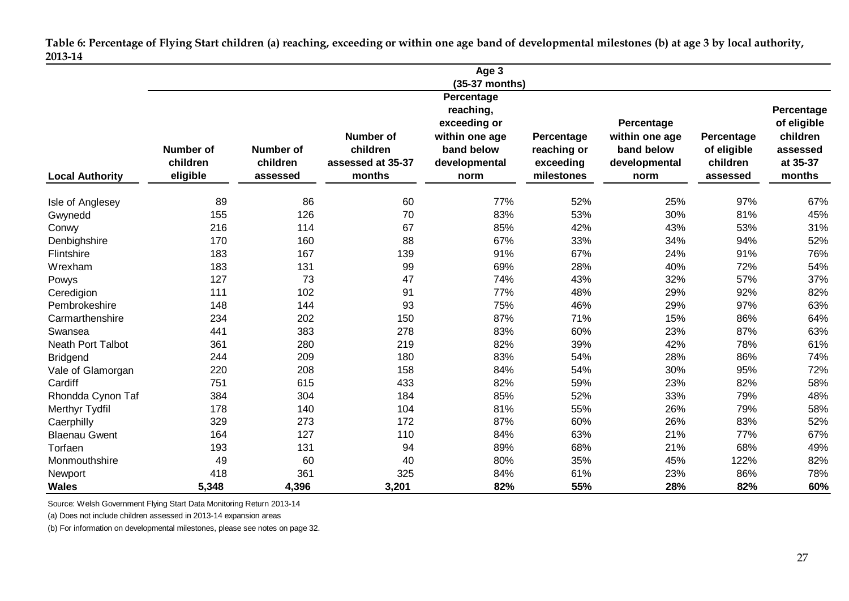**Table 6: Percentage of Flying Start children (a) reaching, exceeding or within one age band of developmental milestones (b) at age 3 by local authority, 2013-14**

|                          |                                          |                                          |                                                             | Age 3                                                 |                                                      |                                                       |                                                   |                                            |
|--------------------------|------------------------------------------|------------------------------------------|-------------------------------------------------------------|-------------------------------------------------------|------------------------------------------------------|-------------------------------------------------------|---------------------------------------------------|--------------------------------------------|
|                          |                                          |                                          |                                                             | $(35-37$ months)                                      |                                                      |                                                       |                                                   |                                            |
|                          |                                          |                                          |                                                             | Percentage                                            |                                                      |                                                       |                                                   |                                            |
|                          |                                          |                                          |                                                             | reaching,                                             |                                                      |                                                       |                                                   | Percentage                                 |
|                          |                                          |                                          |                                                             | exceeding or                                          |                                                      | Percentage                                            |                                                   | of eligible                                |
| <b>Local Authority</b>   | <b>Number of</b><br>children<br>eligible | <b>Number of</b><br>children<br>assessed | <b>Number of</b><br>children<br>assessed at 35-37<br>months | within one age<br>band below<br>developmental<br>norm | Percentage<br>reaching or<br>exceeding<br>milestones | within one age<br>band below<br>developmental<br>norm | Percentage<br>of eligible<br>children<br>assessed | children<br>assessed<br>at 35-37<br>months |
| Isle of Anglesey         | 89                                       | 86                                       | 60                                                          | 77%                                                   | 52%                                                  | 25%                                                   | 97%                                               | 67%                                        |
| Gwynedd                  | 155                                      | 126                                      | 70                                                          | 83%                                                   | 53%                                                  | 30%                                                   | 81%                                               | 45%                                        |
| Conwy                    | 216                                      | 114                                      | 67                                                          | 85%                                                   | 42%                                                  | 43%                                                   | 53%                                               | 31%                                        |
| Denbighshire             | 170                                      | 160                                      | 88                                                          | 67%                                                   | 33%                                                  | 34%                                                   | 94%                                               | 52%                                        |
| Flintshire               | 183                                      | 167                                      | 139                                                         | 91%                                                   | 67%                                                  | 24%                                                   | 91%                                               | 76%                                        |
| Wrexham                  | 183                                      | 131                                      | 99                                                          | 69%                                                   | 28%                                                  | 40%                                                   | 72%                                               | 54%                                        |
| Powys                    | 127                                      | 73                                       | 47                                                          | 74%                                                   | 43%                                                  | 32%                                                   | 57%                                               | 37%                                        |
| Ceredigion               | 111                                      | 102                                      | 91                                                          | 77%                                                   | 48%                                                  | 29%                                                   | 92%                                               | 82%                                        |
| Pembrokeshire            | 148                                      | 144                                      | 93                                                          | 75%                                                   | 46%                                                  | 29%                                                   | 97%                                               | 63%                                        |
| Carmarthenshire          | 234                                      | 202                                      | 150                                                         | 87%                                                   | 71%                                                  | 15%                                                   | 86%                                               | 64%                                        |
| Swansea                  | 441                                      | 383                                      | 278                                                         | 83%                                                   | 60%                                                  | 23%                                                   | 87%                                               | 63%                                        |
| <b>Neath Port Talbot</b> | 361                                      | 280                                      | 219                                                         | 82%                                                   | 39%                                                  | 42%                                                   | 78%                                               | 61%                                        |
| <b>Bridgend</b>          | 244                                      | 209                                      | 180                                                         | 83%                                                   | 54%                                                  | 28%                                                   | 86%                                               | 74%                                        |
| Vale of Glamorgan        | 220                                      | 208                                      | 158                                                         | 84%                                                   | 54%                                                  | 30%                                                   | 95%                                               | 72%                                        |
| Cardiff                  | 751                                      | 615                                      | 433                                                         | 82%                                                   | 59%                                                  | 23%                                                   | 82%                                               | 58%                                        |
| Rhondda Cynon Taf        | 384                                      | 304                                      | 184                                                         | 85%                                                   | 52%                                                  | 33%                                                   | 79%                                               | 48%                                        |
| Merthyr Tydfil           | 178                                      | 140                                      | 104                                                         | 81%                                                   | 55%                                                  | 26%                                                   | 79%                                               | 58%                                        |
| Caerphilly               | 329                                      | 273                                      | 172                                                         | 87%                                                   | 60%                                                  | 26%                                                   | 83%                                               | 52%                                        |
| <b>Blaenau Gwent</b>     | 164                                      | 127                                      | 110                                                         | 84%                                                   | 63%                                                  | 21%                                                   | 77%                                               | 67%                                        |
| Torfaen                  | 193                                      | 131                                      | 94                                                          | 89%                                                   | 68%                                                  | 21%                                                   | 68%                                               | 49%                                        |
| Monmouthshire            | 49                                       | 60                                       | 40                                                          | 80%                                                   | 35%                                                  | 45%                                                   | 122%                                              | 82%                                        |
| Newport                  | 418                                      | 361                                      | 325                                                         | 84%                                                   | 61%                                                  | 23%                                                   | 86%                                               | 78%                                        |
| <b>Wales</b>             | 5,348                                    | 4,396                                    | 3,201                                                       | 82%                                                   | 55%                                                  | 28%                                                   | 82%                                               | 60%                                        |

<span id="page-26-0"></span>Source: Welsh Government Flying Start Data Monitoring Return 2013-14

(a) Does not include children assessed in 2013-14 expansion areas

(b) For information on developmental milestones, please see notes on page 32.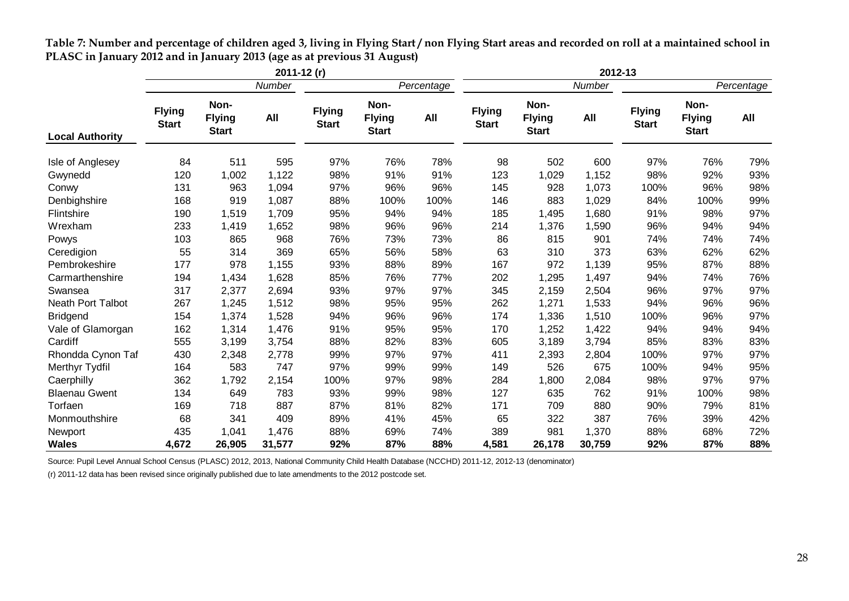|                        | $2011 - 12(r)$                |                                       |        |                               |                                       | 2012-13 |                               |                                       |        |                               |                                       |     |
|------------------------|-------------------------------|---------------------------------------|--------|-------------------------------|---------------------------------------|---------|-------------------------------|---------------------------------------|--------|-------------------------------|---------------------------------------|-----|
|                        | Number                        |                                       |        | Percentage                    |                                       |         | Number                        |                                       |        | Percentage                    |                                       |     |
| <b>Local Authority</b> | <b>Flying</b><br><b>Start</b> | Non-<br><b>Flying</b><br><b>Start</b> | All    | <b>Flying</b><br><b>Start</b> | Non-<br><b>Flying</b><br><b>Start</b> | All     | <b>Flying</b><br><b>Start</b> | Non-<br><b>Flying</b><br><b>Start</b> | All    | <b>Flying</b><br><b>Start</b> | Non-<br><b>Flying</b><br><b>Start</b> | All |
| Isle of Anglesey       | 84                            | 511                                   | 595    | 97%                           | 76%                                   | 78%     | 98                            | 502                                   | 600    | 97%                           | 76%                                   | 79% |
| Gwynedd                | 120                           | 1,002                                 | 1,122  | 98%                           | 91%                                   | 91%     | 123                           | 1,029                                 | 1,152  | 98%                           | 92%                                   | 93% |
| Conwy                  | 131                           | 963                                   | 1,094  | 97%                           | 96%                                   | 96%     | 145                           | 928                                   | 1,073  | 100%                          | 96%                                   | 98% |
| Denbighshire           | 168                           | 919                                   | 1,087  | 88%                           | 100%                                  | 100%    | 146                           | 883                                   | 1,029  | 84%                           | 100%                                  | 99% |
| Flintshire             | 190                           | 1,519                                 | 1,709  | 95%                           | 94%                                   | 94%     | 185                           | 1,495                                 | 1,680  | 91%                           | 98%                                   | 97% |
| Wrexham                | 233                           | 1,419                                 | 1,652  | 98%                           | 96%                                   | 96%     | 214                           | 1,376                                 | 1,590  | 96%                           | 94%                                   | 94% |
| Powys                  | 103                           | 865                                   | 968    | 76%                           | 73%                                   | 73%     | 86                            | 815                                   | 901    | 74%                           | 74%                                   | 74% |
| Ceredigion             | 55                            | 314                                   | 369    | 65%                           | 56%                                   | 58%     | 63                            | 310                                   | 373    | 63%                           | 62%                                   | 62% |
| Pembrokeshire          | 177                           | 978                                   | 1,155  | 93%                           | 88%                                   | 89%     | 167                           | 972                                   | 1,139  | 95%                           | 87%                                   | 88% |
| Carmarthenshire        | 194                           | 1,434                                 | 1,628  | 85%                           | 76%                                   | 77%     | 202                           | 1,295                                 | 1,497  | 94%                           | 74%                                   | 76% |
| Swansea                | 317                           | 2,377                                 | 2,694  | 93%                           | 97%                                   | 97%     | 345                           | 2,159                                 | 2,504  | 96%                           | 97%                                   | 97% |
| Neath Port Talbot      | 267                           | 1,245                                 | 1,512  | 98%                           | 95%                                   | 95%     | 262                           | 1,271                                 | 1,533  | 94%                           | 96%                                   | 96% |
| <b>Bridgend</b>        | 154                           | 1,374                                 | 1,528  | 94%                           | 96%                                   | 96%     | 174                           | 1,336                                 | 1,510  | 100%                          | 96%                                   | 97% |
| Vale of Glamorgan      | 162                           | 1,314                                 | 1,476  | 91%                           | 95%                                   | 95%     | 170                           | 1,252                                 | 1,422  | 94%                           | 94%                                   | 94% |
| Cardiff                | 555                           | 3,199                                 | 3,754  | 88%                           | 82%                                   | 83%     | 605                           | 3,189                                 | 3,794  | 85%                           | 83%                                   | 83% |
| Rhondda Cynon Taf      | 430                           | 2,348                                 | 2,778  | 99%                           | 97%                                   | 97%     | 411                           | 2,393                                 | 2,804  | 100%                          | 97%                                   | 97% |
| Merthyr Tydfil         | 164                           | 583                                   | 747    | 97%                           | 99%                                   | 99%     | 149                           | 526                                   | 675    | 100%                          | 94%                                   | 95% |
| Caerphilly             | 362                           | 1,792                                 | 2,154  | 100%                          | 97%                                   | 98%     | 284                           | 1,800                                 | 2,084  | 98%                           | 97%                                   | 97% |
| <b>Blaenau Gwent</b>   | 134                           | 649                                   | 783    | 93%                           | 99%                                   | 98%     | 127                           | 635                                   | 762    | 91%                           | 100%                                  | 98% |
| Torfaen                | 169                           | 718                                   | 887    | 87%                           | 81%                                   | 82%     | 171                           | 709                                   | 880    | 90%                           | 79%                                   | 81% |
| Monmouthshire          | 68                            | 341                                   | 409    | 89%                           | 41%                                   | 45%     | 65                            | 322                                   | 387    | 76%                           | 39%                                   | 42% |
| Newport                | 435                           | 1,041                                 | 1,476  | 88%                           | 69%                                   | 74%     | 389                           | 981                                   | 1,370  | 88%                           | 68%                                   | 72% |
| <b>Wales</b>           | 4,672                         | 26,905                                | 31,577 | 92%                           | 87%                                   | 88%     | 4,581                         | 26,178                                | 30,759 | 92%                           | 87%                                   | 88% |

**Table 7: Number and percentage of children aged 3, living in Flying Start / non Flying Start areas and recorded on roll at a maintained school in PLASC in January 2012 and in January 2013 (age as at previous 31 August)**

<span id="page-27-0"></span>Source: Pupil Level Annual School Census (PLASC) 2012, 2013, National Community Child Health Database (NCCHD) 2011-12, 2012-13 (denominator)

(r) 2011-12 data has been revised since originally published due to late amendments to the 2012 postcode set.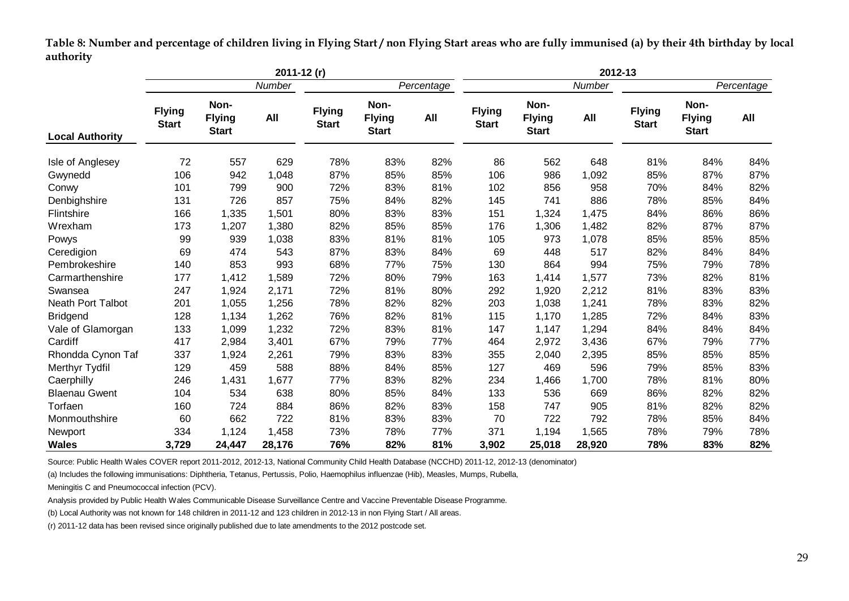**Table 8: Number and percentage of children living in Flying Start / non Flying Start areas who are fully immunised (a) by their 4th birthday by local authority**

|                          | $2011 - 12(r)$                |                                       |        |                               |                                       | 2012-13 |                               |                                       |        |                               |                                       |     |
|--------------------------|-------------------------------|---------------------------------------|--------|-------------------------------|---------------------------------------|---------|-------------------------------|---------------------------------------|--------|-------------------------------|---------------------------------------|-----|
|                          | Number                        |                                       |        | Percentage                    |                                       |         | Number                        |                                       |        | Percentage                    |                                       |     |
| <b>Local Authority</b>   | <b>Flying</b><br><b>Start</b> | Non-<br><b>Flying</b><br><b>Start</b> | All    | <b>Flying</b><br><b>Start</b> | Non-<br><b>Flying</b><br><b>Start</b> | All     | <b>Flying</b><br><b>Start</b> | Non-<br><b>Flying</b><br><b>Start</b> | All    | <b>Flying</b><br><b>Start</b> | Non-<br><b>Flying</b><br><b>Start</b> | All |
| Isle of Anglesey         | 72                            | 557                                   | 629    | 78%                           | 83%                                   | 82%     | 86                            | 562                                   | 648    | 81%                           | 84%                                   | 84% |
| Gwynedd                  | 106                           | 942                                   | 1,048  | 87%                           | 85%                                   | 85%     | 106                           | 986                                   | 1,092  | 85%                           | 87%                                   | 87% |
| Conwy                    | 101                           | 799                                   | 900    | 72%                           | 83%                                   | 81%     | 102                           | 856                                   | 958    | 70%                           | 84%                                   | 82% |
| Denbighshire             | 131                           | 726                                   | 857    | 75%                           | 84%                                   | 82%     | 145                           | 741                                   | 886    | 78%                           | 85%                                   | 84% |
| Flintshire               | 166                           | 1,335                                 | 1,501  | 80%                           | 83%                                   | 83%     | 151                           | 1,324                                 | 1,475  | 84%                           | 86%                                   | 86% |
| Wrexham                  | 173                           | 1,207                                 | 1,380  | 82%                           | 85%                                   | 85%     | 176                           | 1,306                                 | 1,482  | 82%                           | 87%                                   | 87% |
| Powys                    | 99                            | 939                                   | 1,038  | 83%                           | 81%                                   | 81%     | 105                           | 973                                   | 1,078  | 85%                           | 85%                                   | 85% |
| Ceredigion               | 69                            | 474                                   | 543    | 87%                           | 83%                                   | 84%     | 69                            | 448                                   | 517    | 82%                           | 84%                                   | 84% |
| Pembrokeshire            | 140                           | 853                                   | 993    | 68%                           | 77%                                   | 75%     | 130                           | 864                                   | 994    | 75%                           | 79%                                   | 78% |
| Carmarthenshire          | 177                           | 1,412                                 | 1,589  | 72%                           | 80%                                   | 79%     | 163                           | 1,414                                 | 1,577  | 73%                           | 82%                                   | 81% |
| Swansea                  | 247                           | 1,924                                 | 2,171  | 72%                           | 81%                                   | 80%     | 292                           | 1,920                                 | 2,212  | 81%                           | 83%                                   | 83% |
| <b>Neath Port Talbot</b> | 201                           | 1,055                                 | 1,256  | 78%                           | 82%                                   | 82%     | 203                           | 1,038                                 | 1,241  | 78%                           | 83%                                   | 82% |
| <b>Bridgend</b>          | 128                           | 1,134                                 | 1,262  | 76%                           | 82%                                   | 81%     | 115                           | 1,170                                 | 1,285  | 72%                           | 84%                                   | 83% |
| Vale of Glamorgan        | 133                           | 1,099                                 | 1,232  | 72%                           | 83%                                   | 81%     | 147                           | 1,147                                 | 1,294  | 84%                           | 84%                                   | 84% |
| Cardiff                  | 417                           | 2,984                                 | 3,401  | 67%                           | 79%                                   | 77%     | 464                           | 2,972                                 | 3,436  | 67%                           | 79%                                   | 77% |
| Rhondda Cynon Taf        | 337                           | 1,924                                 | 2,261  | 79%                           | 83%                                   | 83%     | 355                           | 2,040                                 | 2,395  | 85%                           | 85%                                   | 85% |
| Merthyr Tydfil           | 129                           | 459                                   | 588    | 88%                           | 84%                                   | 85%     | 127                           | 469                                   | 596    | 79%                           | 85%                                   | 83% |
| Caerphilly               | 246                           | 1,431                                 | 1,677  | 77%                           | 83%                                   | 82%     | 234                           | 1,466                                 | 1,700  | 78%                           | 81%                                   | 80% |
| <b>Blaenau Gwent</b>     | 104                           | 534                                   | 638    | 80%                           | 85%                                   | 84%     | 133                           | 536                                   | 669    | 86%                           | 82%                                   | 82% |
| Torfaen                  | 160                           | 724                                   | 884    | 86%                           | 82%                                   | 83%     | 158                           | 747                                   | 905    | 81%                           | 82%                                   | 82% |
| Monmouthshire            | 60                            | 662                                   | 722    | 81%                           | 83%                                   | 83%     | 70                            | 722                                   | 792    | 78%                           | 85%                                   | 84% |
| Newport                  | 334                           | 1,124                                 | 1,458  | 73%                           | 78%                                   | 77%     | 371                           | 1,194                                 | 1,565  | 78%                           | 79%                                   | 78% |
| <b>Wales</b>             | 3,729                         | 24,447                                | 28,176 | 76%                           | 82%                                   | 81%     | 3,902                         | 25,018                                | 28,920 | 78%                           | 83%                                   | 82% |

<span id="page-28-0"></span>Source: Public Health Wales COVER report 2011-2012, 2012-13, National Community Child Health Database (NCCHD) 2011-12, 2012-13 (denominator)

(a) Includes the following immunisations: Diphtheria, Tetanus, Pertussis, Polio, Haemophilus influenzae (Hib), Measles, Mumps, Rubella,

Meningitis C and Pneumococcal infection (PCV).

Analysis provided by Public Health Wales Communicable Disease Surveillance Centre and Vaccine Preventable Disease Programme.

(b) Local Authority was not known for 148 children in 2011-12 and 123 children in 2012-13 in non Flying Start / All areas.

(r) 2011-12 data has been revised since originally published due to late amendments to the 2012 postcode set.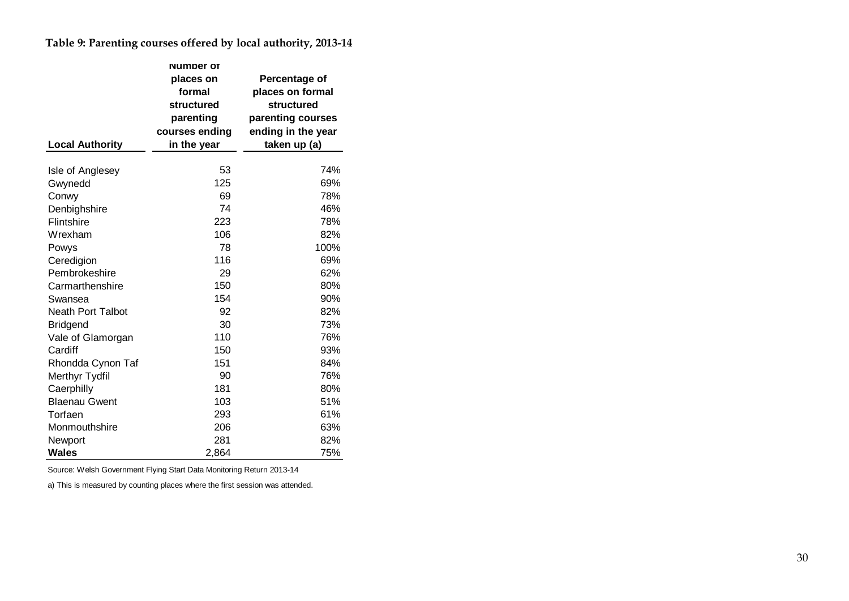**Table 9: Parenting courses offered by local authority, 2013-14**

|                          | <b>Numper of</b> |                    |  |  |
|--------------------------|------------------|--------------------|--|--|
|                          | places on        | Percentage of      |  |  |
|                          | formal           | places on formal   |  |  |
|                          | structured       | structured         |  |  |
|                          | parenting        | parenting courses  |  |  |
|                          | courses ending   | ending in the year |  |  |
| <b>Local Authority</b>   | in the year      | taken up (a)       |  |  |
|                          |                  |                    |  |  |
| Isle of Anglesey         | 53               | 74%                |  |  |
| Gwynedd                  | 125              | 69%                |  |  |
| Conwy                    | 69               | 78%                |  |  |
| Denbighshire             | 74               | 46%                |  |  |
| Flintshire               | 223              | 78%                |  |  |
| Wrexham                  | 106              | 82%                |  |  |
| Powys                    | 78               | 100%               |  |  |
| Ceredigion               | 116              | 69%                |  |  |
| Pembrokeshire            | 29               | 62%                |  |  |
| Carmarthenshire          | 150              | 80%                |  |  |
| Swansea                  | 154              | 90%                |  |  |
| <b>Neath Port Talbot</b> | 92               | 82%                |  |  |
| <b>Bridgend</b>          | 30               | 73%                |  |  |
| Vale of Glamorgan        | 110              | 76%                |  |  |
| Cardiff                  | 150              | 93%                |  |  |
| Rhondda Cynon Taf        | 151              | 84%                |  |  |
| Merthyr Tydfil           | 90               | 76%                |  |  |
| Caerphilly               | 181              | 80%                |  |  |
| <b>Blaenau Gwent</b>     | 103              | 51%                |  |  |
| Torfaen                  | 293              | 61%                |  |  |
| Monmouthshire            | 206              | 63%                |  |  |
| Newport                  | 281              | 82%                |  |  |
| Wales                    | 2,864            | 75%                |  |  |

<span id="page-29-0"></span>Source: Welsh Government Flying Start Data Monitoring Return 2013-14

a) This is measured by counting places where the first session was attended.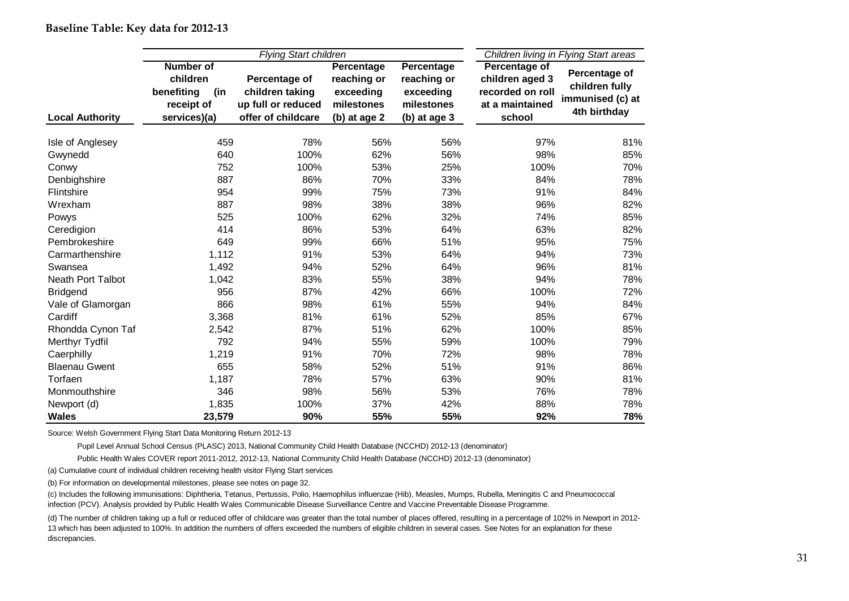|                          |                   | <b>Flying Start children</b> | Children living in Flying Start areas |              |                  |                  |  |
|--------------------------|-------------------|------------------------------|---------------------------------------|--------------|------------------|------------------|--|
|                          | <b>Number of</b>  |                              | Percentage                            | Percentage   | Percentage of    |                  |  |
|                          | children          | Percentage of                | reaching or                           | reaching or  | children aged 3  | Percentage of    |  |
|                          | benefiting<br>(in | children taking              | exceeding                             | exceeding    | recorded on roll | children fully   |  |
|                          | receipt of        | up full or reduced           | milestones                            | milestones   | at a maintained  | immunised (c) at |  |
| <b>Local Authority</b>   | services)(a)      | offer of childcare           | (b) at age 2                          | (b) at age 3 | school           | 4th birthday     |  |
| Isle of Anglesey         | 459               | 78%                          | 56%                                   | 56%          | 97%              | 81%              |  |
| Gwynedd                  | 640               | 100%                         | 62%                                   | 56%          | 98%              | 85%              |  |
| Conwy                    | 752               | 100%                         | 53%                                   | 25%          | 100%             | 70%              |  |
| Denbighshire             | 887               | 86%                          | 70%                                   | 33%          | 84%              | 78%              |  |
| Flintshire               | 954               | 99%                          | 75%                                   | 73%          | 91%              | 84%              |  |
| Wrexham                  | 887               | 98%                          | 38%                                   | 38%          | 96%              | 82%              |  |
| Powys                    | 525               | 100%                         | 62%                                   | 32%          | 74%              | 85%              |  |
| Ceredigion               | 414               | 86%                          | 53%                                   | 64%          | 63%              | 82%              |  |
| Pembrokeshire            | 649               | 99%                          | 66%                                   | 51%          | 95%              | 75%              |  |
| Carmarthenshire          | 1,112             | 91%                          | 53%                                   | 64%          | 94%              | 73%              |  |
| Swansea                  | 1,492             | 94%                          | 52%                                   | 64%          | 96%              | 81%              |  |
| <b>Neath Port Talbot</b> | 1,042             | 83%                          | 55%                                   | 38%          | 94%              | 78%              |  |
| <b>Bridgend</b>          | 956               | 87%                          | 42%                                   | 66%          | 100%             | 72%              |  |
| Vale of Glamorgan        | 866               | 98%                          | 61%                                   | 55%          | 94%              | 84%              |  |
| Cardiff                  | 3,368             | 81%                          | 61%                                   | 52%          | 85%              | 67%              |  |
| Rhondda Cynon Taf        | 2,542             | 87%                          | 51%                                   | 62%          | 100%             | 85%              |  |
| Merthyr Tydfil           | 792               | 94%                          | 55%                                   | 59%          | 100%             | 79%              |  |
| Caerphilly               | 1,219             | 91%                          | 70%                                   | 72%          | 98%              | 78%              |  |
| <b>Blaenau Gwent</b>     | 655               | 58%                          | 52%                                   | 51%          | 91%              | 86%              |  |
| Torfaen                  | 1,187             | 78%                          | 57%                                   | 63%          | 90%              | 81%              |  |
| Monmouthshire            | 346               | 98%                          | 56%                                   | 53%          | 76%              | 78%              |  |
| Newport (d)              | 1,835             | 100%                         | 37%                                   | 42%          | 88%              | 78%              |  |
| <b>Wales</b>             | 23,579            | 90%                          | 55%                                   | 55%          | 92%              | 78%              |  |

**Baseline Table: Key data for 2012-13**

<span id="page-30-0"></span>Source: Welsh Government Flying Start Data Monitoring Return 2012-13

Pupil Level Annual School Census (PLASC) 2013, National Community Child Health Database (NCCHD) 2012-13 (denominator)

Public Health Wales COVER report 2011-2012, 2012-13, National Community Child Health Database (NCCHD) 2012-13 (denominator)

(a) Cumulative count of individual children receiving health visitor Flying Start services

(b) For information on developmental milestones, please see notes on page 32.

(c) Includes the following immunisations: Diphtheria, Tetanus, Pertussis, Polio, Haemophilus influenzae (Hib), Measles, Mumps, Rubella, Meningitis C and Pneumococcal infection (PCV). Analysis provided by Public Health Wales Communicable Disease Surveillance Centre and Vaccine Preventable Disease Programme.

(d) The number of children taking up a full or reduced offer of childcare was greater than the total number of places offered, resulting in a percentage of 102% in Newport in 2012- 13 which has been adjusted to 100%. In addition the numbers of offers exceeded the numbers of eligible children in several cases. See Notes for an explanation for these discrepancies.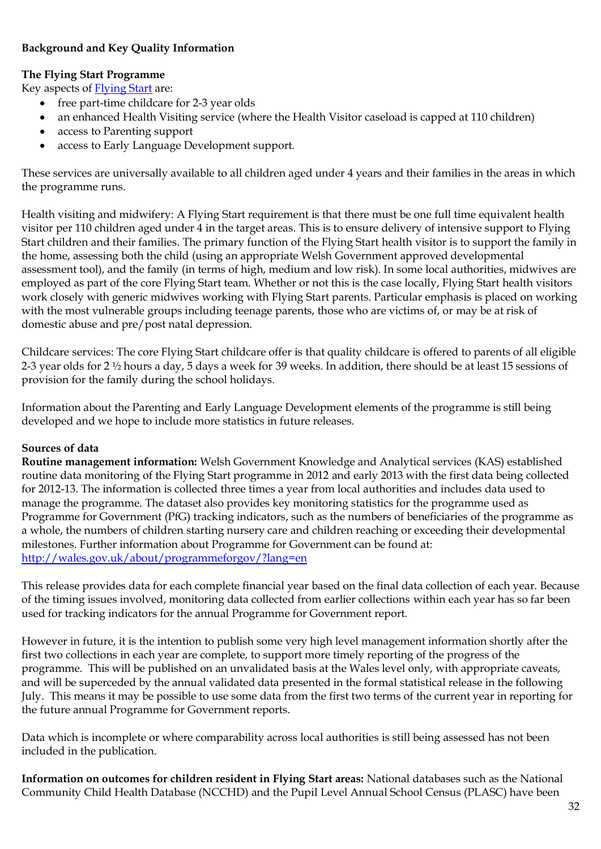# <span id="page-31-0"></span>**Background and Key Quality Information**

# <span id="page-31-2"></span>**The Flying Start Programme**

Key aspects o[f Flying Start](http://wales.gov.uk/topics/childrenyoungpeople/parenting/help/flyingstart/?lang=en) are:

- free part-time childcare for 2-3 year olds
- an enhanced Health Visiting service (where the Health Visitor caseload is capped at 110 children)
- access to Parenting support
- access to Early Language Development support.  $\bullet$

These services are universally available to all children aged under 4 years and their families in the areas in which the programme runs.

Health visiting and midwifery: A Flying Start requirement is that there must be one full time equivalent health visitor per 110 children aged under 4 in the target areas. This is to ensure delivery of intensive support to Flying Start children and their families. The primary function of the Flying Start health visitor is to support the family in the home, assessing both the child (using an appropriate Welsh Government approved developmental assessment tool), and the family (in terms of high, medium and low risk). In some local authorities, midwives are employed as part of the core Flying Start team. Whether or not this is the case locally, Flying Start health visitors work closely with generic midwives working with Flying Start parents. Particular emphasis is placed on working with the most vulnerable groups including teenage parents, those who are victims of, or may be at risk of domestic abuse and pre/post natal depression.

Childcare services: The core Flying Start childcare offer is that quality childcare is offered to parents of all eligible 2-3 year olds for 2 ½ hours a day, 5 days a week for 39 weeks. In addition, there should be at least 15 sessions of provision for the family during the school holidays.

Information about the Parenting and Early Language Development elements of the programme is still being developed and we hope to include more statistics in future releases.

# <span id="page-31-3"></span>**Sources of data**

<span id="page-31-4"></span>**Routine management information:** Welsh Government Knowledge and Analytical services (KAS) established routine data monitoring of the Flying Start programme in 2012 and early 2013 with the first data being collected for 2012-13. The information is collected three times a year from local authorities and includes data used to manage the programme. The dataset also provides key monitoring statistics for the programme used as Programme for Government (PfG) tracking indicators, such as the numbers of beneficiaries of the programme as a whole, the numbers of children starting nursery care and children reaching or exceeding their developmental milestones. Further information about Programme for Government can be found at: <http://wales.gov.uk/about/programmeforgov/?lang=en>

<span id="page-31-1"></span>This release provides data for each complete financial year based on the final data collection of each year. Because of the timing issues involved, monitoring data collected from earlier collections within each year has so far been used for tracking indicators for the annual Programme for Government report.

However in future, it is the intention to publish some very high level management information shortly after the first two collections in each year are complete, to support more timely reporting of the progress of the programme. This will be published on an unvalidated basis at the Wales level only, with appropriate caveats, and will be superceded by the annual validated data presented in the formal statistical release in the following July. This means it may be possible to use some data from the first two terms of the current year in reporting for the future annual Programme for Government reports.

Data which is incomplete or where comparability across local authorities is still being assessed has not been included in the publication.

<span id="page-31-5"></span>**Information on outcomes for children resident in Flying Start areas:** National databases such as the National Community Child Health Database (NCCHD) and the Pupil Level Annual School Census (PLASC) have been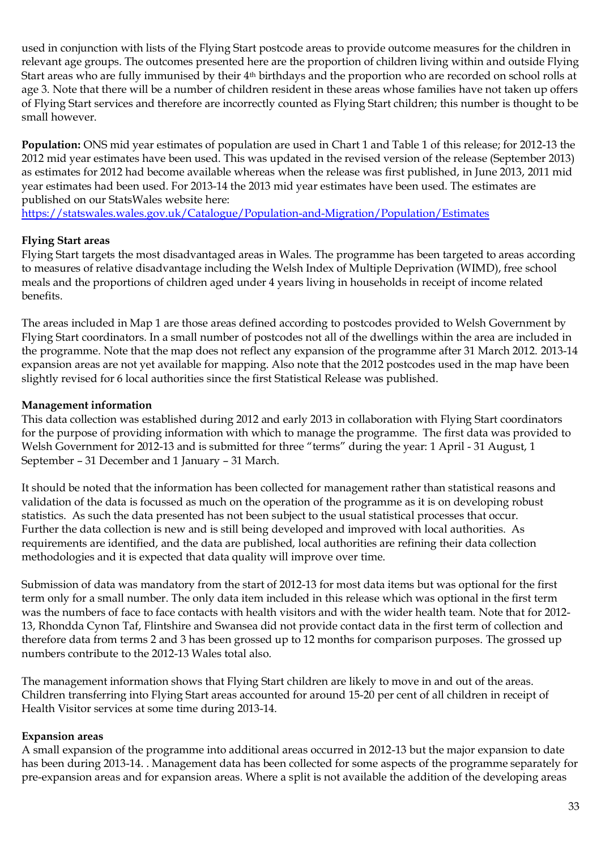used in conjunction with lists of the Flying Start postcode areas to provide outcome measures for the children in relevant age groups. The outcomes presented here are the proportion of children living within and outside Flying Start areas who are fully immunised by their 4<sup>th</sup> birthdays and the proportion who are recorded on school rolls at age 3. Note that there will be a number of children resident in these areas whose families have not taken up offers of Flying Start services and therefore are incorrectly counted as Flying Start children; this number is thought to be small however.

<span id="page-32-0"></span>**Population:** ONS mid year estimates of population are used in Chart 1 and Table 1 of this release; for 2012-13 the 2012 mid year estimates have been used. This was updated in the revised version of the release (September 2013) as estimates for 2012 had become available whereas when the release was first published, in June 2013, 2011 mid year estimates had been used. For 2013-14 the 2013 mid year estimates have been used. The estimates are published on our StatsWales website here:

<https://statswales.wales.gov.uk/Catalogue/Population-and-Migration/Population/Estimates>

# <span id="page-32-1"></span>**Flying Start areas**

Flying Start targets the most disadvantaged areas in Wales. The programme has been targeted to areas according to measures of relative disadvantage including the Welsh Index of Multiple Deprivation (WIMD), free school meals and the proportions of children aged under 4 years living in households in receipt of income related benefits.

The areas included in Map 1 are those areas defined according to postcodes provided to Welsh Government by Flying Start coordinators. In a small number of postcodes not all of the dwellings within the area are included in the programme. Note that the map does not reflect any expansion of the programme after 31 March 2012. 2013-14 expansion areas are not yet available for mapping. Also note that the 2012 postcodes used in the map have been slightly revised for 6 local authorities since the first Statistical Release was published.

# <span id="page-32-2"></span>**Management information**

This data collection was established during 2012 and early 2013 in collaboration with Flying Start coordinators for the purpose of providing information with which to manage the programme. The first data was provided to Welsh Government for 2012-13 and is submitted for three "terms" during the year: 1 April - 31 August, 1 September – 31 December and 1 January – 31 March.

It should be noted that the information has been collected for management rather than statistical reasons and validation of the data is focussed as much on the operation of the programme as it is on developing robust statistics. As such the data presented has not been subject to the usual statistical processes that occur. Further the data collection is new and is still being developed and improved with local authorities. As requirements are identified, and the data are published, local authorities are refining their data collection methodologies and it is expected that data quality will improve over time.

Submission of data was mandatory from the start of 2012-13 for most data items but was optional for the first term only for a small number. The only data item included in this release which was optional in the first term was the numbers of face to face contacts with health visitors and with the wider health team. Note that for 2012- 13, Rhondda Cynon Taf, Flintshire and Swansea did not provide contact data in the first term of collection and therefore data from terms 2 and 3 has been grossed up to 12 months for comparison purposes. The grossed up numbers contribute to the 2012-13 Wales total also.

The management information shows that Flying Start children are likely to move in and out of the areas. Children transferring into Flying Start areas accounted for around 15-20 per cent of all children in receipt of Health Visitor services at some time during 2013-14.

# <span id="page-32-3"></span>**Expansion areas**

A small expansion of the programme into additional areas occurred in 2012-13 but the major expansion to date has been during 2013-14. . Management data has been collected for some aspects of the programme separately for pre-expansion areas and for expansion areas. Where a split is not available the addition of the developing areas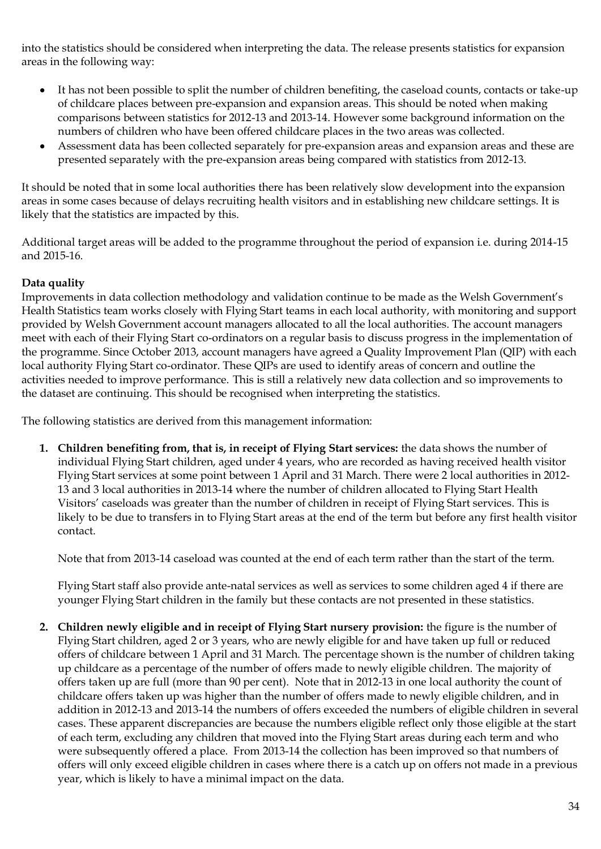into the statistics should be considered when interpreting the data. The release presents statistics for expansion areas in the following way:

- It has not been possible to split the number of children benefiting, the caseload counts, contacts or take-up  $\bullet$ of childcare places between pre-expansion and expansion areas. This should be noted when making comparisons between statistics for 2012-13 and 2013-14. However some background information on the numbers of children who have been offered childcare places in the two areas was collected.
- Assessment data has been collected separately for pre-expansion areas and expansion areas and these are presented separately with the pre-expansion areas being compared with statistics from 2012-13.

It should be noted that in some local authorities there has been relatively slow development into the expansion areas in some cases because of delays recruiting health visitors and in establishing new childcare settings. It is likely that the statistics are impacted by this.

Additional target areas will be added to the programme throughout the period of expansion i.e. during 2014-15 and 2015-16.

# **Data quality**

Improvements in data collection methodology and validation continue to be made as the Welsh Government's Health Statistics team works closely with Flying Start teams in each local authority, with monitoring and support provided by Welsh Government account managers allocated to all the local authorities. The account managers meet with each of their Flying Start co-ordinators on a regular basis to discuss progress in the implementation of the programme. Since October 2013, account managers have agreed a Quality Improvement Plan (QIP) with each local authority Flying Start co-ordinator. These QIPs are used to identify areas of concern and outline the activities needed to improve performance. This is still a relatively new data collection and so improvements to the dataset are continuing. This should be recognised when interpreting the statistics.

The following statistics are derived from this management information:

**1. Children benefiting from, that is, in receipt of Flying Start services:** the data shows the number of individual Flying Start children, aged under 4 years, who are recorded as having received health visitor Flying Start services at some point between 1 April and 31 March. There were 2 local authorities in 2012- 13 and 3 local authorities in 2013-14 where the number of children allocated to Flying Start Health Visitors' caseloads was greater than the number of children in receipt of Flying Start services. This is likely to be due to transfers in to Flying Start areas at the end of the term but before any first health visitor contact.

Note that from 2013-14 caseload was counted at the end of each term rather than the start of the term.

Flying Start staff also provide ante-natal services as well as services to some children aged 4 if there are younger Flying Start children in the family but these contacts are not presented in these statistics.

**2. Children newly eligible and in receipt of Flying Start nursery provision:** the figure is the number of Flying Start children, aged 2 or 3 years, who are newly eligible for and have taken up full or reduced offers of childcare between 1 April and 31 March. The percentage shown is the number of children taking up childcare as a percentage of the number of offers made to newly eligible children. The majority of offers taken up are full (more than 90 per cent). Note that in 2012-13 in one local authority the count of childcare offers taken up was higher than the number of offers made to newly eligible children, and in addition in 2012-13 and 2013-14 the numbers of offers exceeded the numbers of eligible children in several cases. These apparent discrepancies are because the numbers eligible reflect only those eligible at the start of each term, excluding any children that moved into the Flying Start areas during each term and who were subsequently offered a place. From 2013-14 the collection has been improved so that numbers of offers will only exceed eligible children in cases where there is a catch up on offers not made in a previous year, which is likely to have a minimal impact on the data.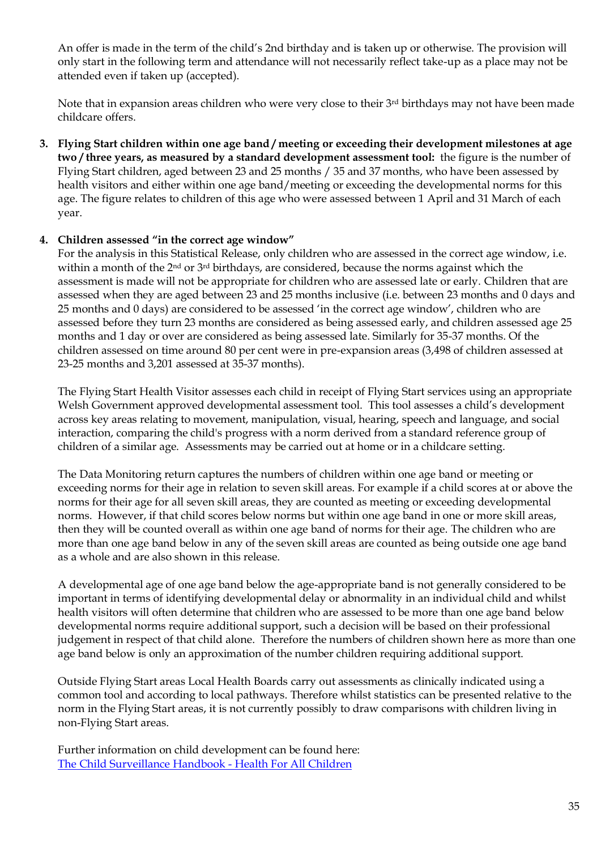An offer is made in the term of the child's 2nd birthday and is taken up or otherwise. The provision will only start in the following term and attendance will not necessarily reflect take-up as a place may not be attended even if taken up (accepted).

Note that in expansion areas children who were very close to their 3rd birthdays may not have been made childcare offers.

**3. Flying Start children within one age band / meeting or exceeding their development milestones at age two / three years, as measured by a standard development assessment tool:** the figure is the number of Flying Start children, aged between 23 and 25 months / 35 and 37 months, who have been assessed by health visitors and either within one age band/meeting or exceeding the developmental norms for this age. The figure relates to children of this age who were assessed between 1 April and 31 March of each year.

#### **4. Children assessed "in the correct age window"**

For the analysis in this Statistical Release, only children who are assessed in the correct age window, i.e. within a month of the 2<sup>nd</sup> or 3<sup>rd</sup> birthdays, are considered, because the norms against which the assessment is made will not be appropriate for children who are assessed late or early. Children that are assessed when they are aged between 23 and 25 months inclusive (i.e. between 23 months and 0 days and 25 months and 0 days) are considered to be assessed 'in the correct age window', children who are assessed before they turn 23 months are considered as being assessed early, and children assessed age 25 months and 1 day or over are considered as being assessed late. Similarly for 35-37 months. Of the children assessed on time around 80 per cent were in pre-expansion areas (3,498 of children assessed at 23-25 months and 3,201 assessed at 35-37 months).

The Flying Start Health Visitor assesses each child in receipt of Flying Start services using an appropriate Welsh Government approved developmental assessment tool. This tool assesses a child's development across key areas relating to movement, manipulation, visual, hearing, speech and language, and social interaction, comparing the child's progress with a norm derived from a standard reference group of children of a similar age. Assessments may be carried out at home or in a childcare setting.

The Data Monitoring return captures the numbers of children within one age band or meeting or exceeding norms for their age in relation to seven skill areas. For example if a child scores at or above the norms for their age for all seven skill areas, they are counted as meeting or exceeding developmental norms. However, if that child scores below norms but within one age band in one or more skill areas, then they will be counted overall as within one age band of norms for their age. The children who are more than one age band below in any of the seven skill areas are counted as being outside one age band as a whole and are also shown in this release.

A developmental age of one age band below the age-appropriate band is not generally considered to be important in terms of identifying developmental delay or abnormality in an individual child and whilst health visitors will often determine that children who are assessed to be more than one age band below developmental norms require additional support, such a decision will be based on their professional judgement in respect of that child alone. Therefore the numbers of children shown here as more than one age band below is only an approximation of the number children requiring additional support.

Outside Flying Start areas Local Health Boards carry out assessments as clinically indicated using a common tool and according to local pathways. Therefore whilst statistics can be presented relative to the norm in the Flying Start areas, it is not currently possibly to draw comparisons with children living in non-Flying Start areas.

<span id="page-34-0"></span>Further information on child development can be found here: [The Child Surveillance Handbook -](http://www.healthforallchildren.com/?page_id=298) Health For All Children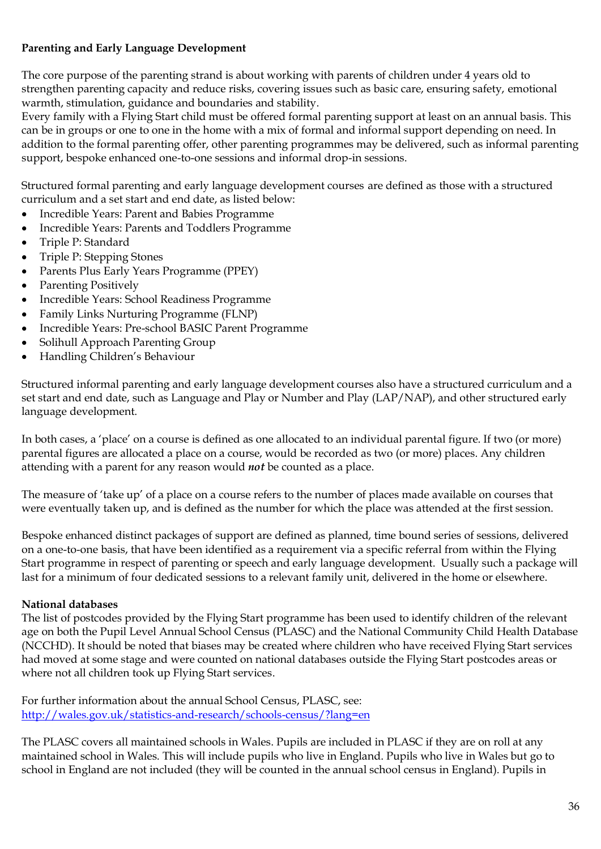# **Parenting and Early Language Development**

The core purpose of the parenting strand is about working with parents of children under 4 years old to strengthen parenting capacity and reduce risks, covering issues such as basic care, ensuring safety, emotional warmth, stimulation, guidance and boundaries and stability.

Every family with a Flying Start child must be offered formal parenting support at least on an annual basis. This can be in groups or one to one in the home with a mix of formal and informal support depending on need. In addition to the formal parenting offer, other parenting programmes may be delivered, such as informal parenting support, bespoke enhanced one-to-one sessions and informal drop-in sessions.

Structured formal parenting and early language development courses are defined as those with a structured curriculum and a set start and end date, as listed below:

- Incredible Years: Parent and Babies Programme
- Incredible Years: Parents and Toddlers Programme
- Triple P: Standard
- Triple P: Stepping Stones
- Parents Plus Early Years Programme (PPEY)
- Parenting Positively
- Incredible Years: School Readiness Programme
- Family Links Nurturing Programme (FLNP)
- Incredible Years: Pre-school BASIC Parent Programme
- Solihull Approach Parenting Group
- Handling Children's Behaviour

Structured informal parenting and early language development courses also have a structured curriculum and a set start and end date, such as Language and Play or Number and Play (LAP/NAP), and other structured early language development.

In both cases, a 'place' on a course is defined as one allocated to an individual parental figure. If two (or more) parental figures are allocated a place on a course, would be recorded as two (or more) places. Any children attending with a parent for any reason would *not* be counted as a place.

The measure of 'take up' of a place on a course refers to the number of places made available on courses that were eventually taken up, and is defined as the number for which the place was attended at the first session.

Bespoke enhanced distinct packages of support are defined as planned, time bound series of sessions, delivered on a one-to-one basis, that have been identified as a requirement via a specific referral from within the Flying Start programme in respect of parenting or speech and early language development. Usually such a package will last for a minimum of four dedicated sessions to a relevant family unit, delivered in the home or elsewhere.

# <span id="page-35-0"></span>**National databases**

The list of postcodes provided by the Flying Start programme has been used to identify children of the relevant age on both the Pupil Level Annual School Census (PLASC) and the National Community Child Health Database (NCCHD). It should be noted that biases may be created where children who have received Flying Start services had moved at some stage and were counted on national databases outside the Flying Start postcodes areas or where not all children took up Flying Start services.

For further information about the annual School Census, PLASC, see: <http://wales.gov.uk/statistics-and-research/schools-census/?lang=en>

The PLASC covers all maintained schools in Wales. Pupils are included in PLASC if they are on roll at any maintained school in Wales. This will include pupils who live in England. Pupils who live in Wales but go to school in England are not included (they will be counted in the annual school census in England). Pupils in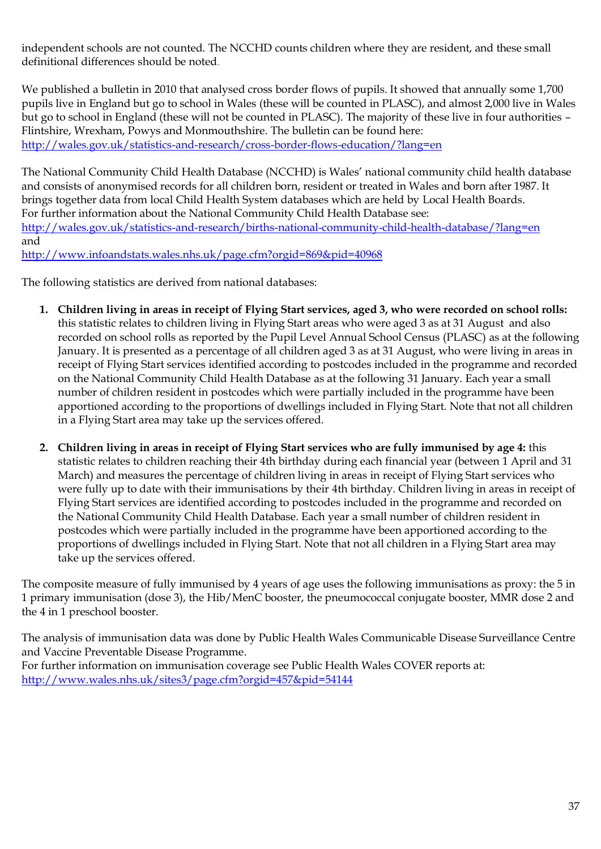independent schools are not counted. The NCCHD counts children where they are resident, and these small definitional differences should be noted.

We published a bulletin in 2010 that analysed cross border flows of pupils. It showed that annually some 1,700 pupils live in England but go to school in Wales (these will be counted in PLASC), and almost 2,000 live in Wales but go to school in England (these will not be counted in PLASC). The majority of these live in four authorities – Flintshire, Wrexham, Powys and Monmouthshire. The bulletin can be found here: <http://wales.gov.uk/statistics-and-research/cross-border-flows-education/?lang=en>

The National Community Child Health Database (NCCHD) is Wales' national community child health database and consists of anonymised records for all children born, resident or treated in Wales and born after 1987. It brings together data from local Child Health System databases which are held by Local Health Boards. For further information about the National Community Child Health Database see: <http://wales.gov.uk/statistics-and-research/births-national-community-child-health-database/?lang=en> and <http://www.infoandstats.wales.nhs.uk/page.cfm?orgid=869&pid=40968>

The following statistics are derived from national databases:

- **1. Children living in areas in receipt of Flying Start services, aged 3, who were recorded on school rolls:** this statistic relates to children living in Flying Start areas who were aged 3 as at 31 August and also recorded on school rolls as reported by the Pupil Level Annual School Census (PLASC) as at the following January. It is presented as a percentage of all children aged 3 as at 31 August, who were living in areas in receipt of Flying Start services identified according to postcodes included in the programme and recorded on the National Community Child Health Database as at the following 31 January. Each year a small number of children resident in postcodes which were partially included in the programme have been apportioned according to the proportions of dwellings included in Flying Start. Note that not all children in a Flying Start area may take up the services offered.
- **2. Children living in areas in receipt of Flying Start services who are fully immunised by age 4:** this statistic relates to children reaching their 4th birthday during each financial year (between 1 April and 31 March) and measures the percentage of children living in areas in receipt of Flying Start services who were fully up to date with their immunisations by their 4th birthday. Children living in areas in receipt of Flying Start services are identified according to postcodes included in the programme and recorded on the National Community Child Health Database. Each year a small number of children resident in postcodes which were partially included in the programme have been apportioned according to the proportions of dwellings included in Flying Start. Note that not all children in a Flying Start area may take up the services offered.

The composite measure of fully immunised by 4 years of age uses the following immunisations as proxy: the 5 in 1 primary immunisation (dose 3), the Hib/MenC booster, the pneumococcal conjugate booster, MMR dose 2 and the 4 in 1 preschool booster.

<span id="page-36-0"></span>The analysis of immunisation data was done by Public Health Wales Communicable Disease Surveillance Centre and Vaccine Preventable Disease Programme. For further information on immunisation coverage see Public Health Wales COVER reports at: <http://www.wales.nhs.uk/sites3/page.cfm?orgid=457&pid=54144>